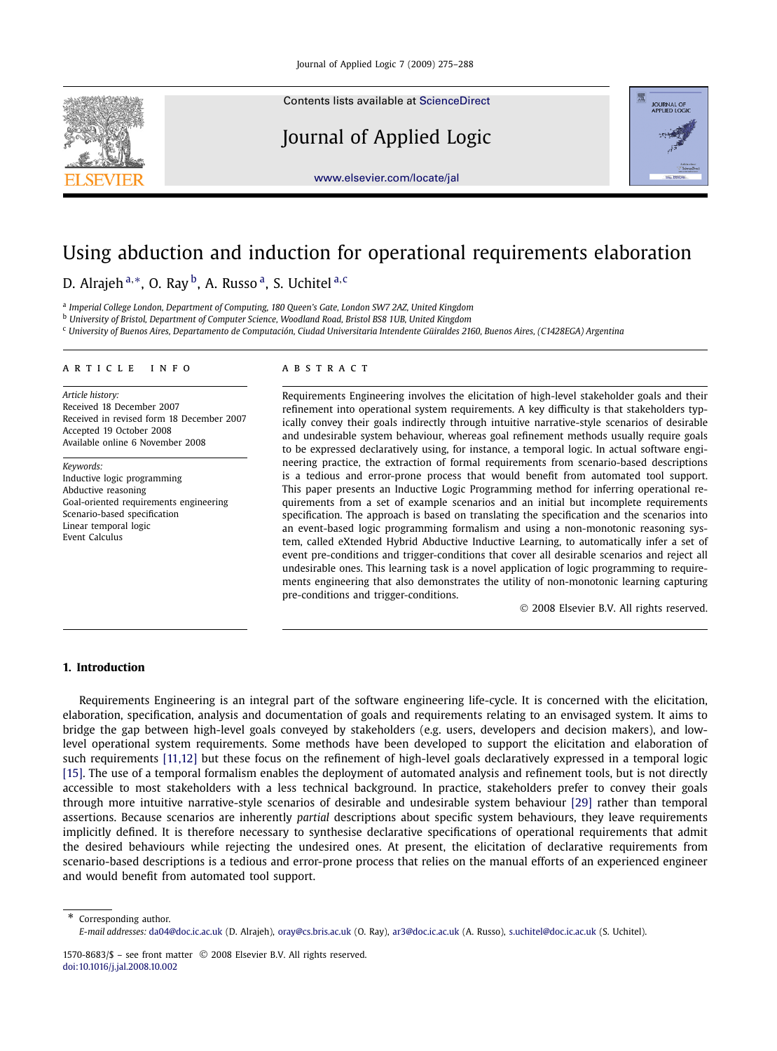Contents lists available at [ScienceDirect](http://www.ScienceDirect.com/)



Journal of Applied Logic



[www.elsevier.com/locate/jal](http://www.elsevier.com/locate/jal)

# Using abduction and induction for operational requirements elaboration

D. Alrajeh <sup>a</sup>*,*∗, O. Ray b, A. Russo a, S. Uchitel <sup>a</sup>*,*<sup>c</sup>

<sup>a</sup> *Imperial College London, Department of Computing, 180 Queen's Gate, London SW7 2AZ, United Kingdom*

<sup>b</sup> *University of Bristol, Department of Computer Science, Woodland Road, Bristol BS8 1UB, United Kingdom*

<sup>c</sup> *University of Buenos Aires, Departamento de Computación, Ciudad Universitaria Intendente Güiraldes 2160, Buenos Aires, (C1428EGA) Argentina*

#### article info abstract

*Article history:* Received 18 December 2007 Received in revised form 18 December 2007 Accepted 19 October 2008 Available online 6 November 2008

*Keywords:* Inductive logic programming Abductive reasoning Goal-oriented requirements engineering Scenario-based specification Linear temporal logic Event Calculus

Requirements Engineering involves the elicitation of high-level stakeholder goals and their refinement into operational system requirements. A key difficulty is that stakeholders typically convey their goals indirectly through intuitive narrative-style scenarios of desirable and undesirable system behaviour, whereas goal refinement methods usually require goals to be expressed declaratively using, for instance, a temporal logic. In actual software engineering practice, the extraction of formal requirements from scenario-based descriptions is a tedious and error-prone process that would benefit from automated tool support. This paper presents an Inductive Logic Programming method for inferring operational requirements from a set of example scenarios and an initial but incomplete requirements specification. The approach is based on translating the specification and the scenarios into an event-based logic programming formalism and using a non-monotonic reasoning system, called eXtended Hybrid Abductive Inductive Learning, to automatically infer a set of event pre-conditions and trigger-conditions that cover all desirable scenarios and reject all undesirable ones. This learning task is a novel application of logic programming to requirements engineering that also demonstrates the utility of non-monotonic learning capturing pre-conditions and trigger-conditions.

© 2008 Elsevier B.V. All rights reserved.

# **1. Introduction**

Requirements Engineering is an integral part of the software engineering life-cycle. It is concerned with the elicitation, elaboration, specification, analysis and documentation of goals and requirements relating to an envisaged system. It aims to bridge the gap between high-level goals conveyed by stakeholders (e.g. users, developers and decision makers), and lowlevel operational system requirements. Some methods have been developed to support the elicitation and elaboration of such requirements [\[11,12\]](#page-13-0) but these focus on the refinement of high-level goals declaratively expressed in a temporal logic [\[15\].](#page-13-0) The use of a temporal formalism enables the deployment of automated analysis and refinement tools, but is not directly accessible to most stakeholders with a less technical background. In practice, stakeholders prefer to convey their goals through more intuitive narrative-style scenarios of desirable and undesirable system behaviour [\[29\]](#page-13-0) rather than temporal assertions. Because scenarios are inherently *partial* descriptions about specific system behaviours, they leave requirements implicitly defined. It is therefore necessary to synthesise declarative specifications of operational requirements that admit the desired behaviours while rejecting the undesired ones. At present, the elicitation of declarative requirements from scenario-based descriptions is a tedious and error-prone process that relies on the manual efforts of an experienced engineer and would benefit from automated tool support.

<sup>\*</sup> Corresponding author.

*E-mail addresses:* [da04@doc.ic.ac.uk](mailto:da04@doc.ic.ac.uk) (D. Alrajeh), [oray@cs.bris.ac.uk](mailto:oray@cs.bris.ac.uk) (O. Ray), [ar3@doc.ic.ac.uk](mailto:ar3@doc.ic.ac.uk) (A. Russo), [s.uchitel@doc.ic.ac.uk](mailto:s.uchitel@doc.ic.ac.uk) (S. Uchitel).

<sup>1570-8683/\$ –</sup> see front matter © 2008 Elsevier B.V. All rights reserved. [doi:10.1016/j.jal.2008.10.002](http://dx.doi.org/10.1016/j.jal.2008.10.002)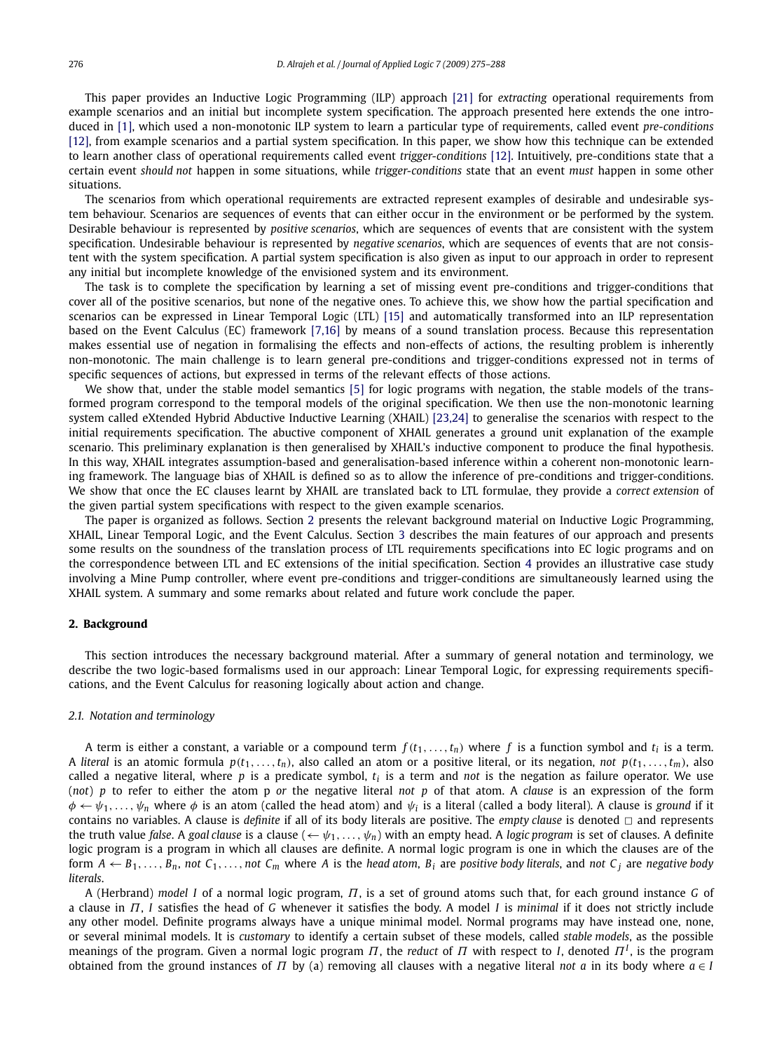This paper provides an Inductive Logic Programming (ILP) approach [\[21\]](#page-13-0) for *extracting* operational requirements from example scenarios and an initial but incomplete system specification. The approach presented here extends the one introduced in [\[1\],](#page-13-0) which used a non-monotonic ILP system to learn a particular type of requirements, called event *pre-conditions* [\[12\],](#page-13-0) from example scenarios and a partial system specification. In this paper, we show how this technique can be extended to learn another class of operational requirements called event *trigger-conditions* [\[12\].](#page-13-0) Intuitively, pre-conditions state that a certain event *should not* happen in some situations, while *trigger-conditions* state that an event *must* happen in some other situations.

The scenarios from which operational requirements are extracted represent examples of desirable and undesirable system behaviour. Scenarios are sequences of events that can either occur in the environment or be performed by the system. Desirable behaviour is represented by *positive scenarios*, which are sequences of events that are consistent with the system specification. Undesirable behaviour is represented by *negative scenarios*, which are sequences of events that are not consistent with the system specification. A partial system specification is also given as input to our approach in order to represent any initial but incomplete knowledge of the envisioned system and its environment.

The task is to complete the specification by learning a set of missing event pre-conditions and trigger-conditions that cover all of the positive scenarios, but none of the negative ones. To achieve this, we show how the partial specification and scenarios can be expressed in Linear Temporal Logic (LTL) [\[15\]](#page-13-0) and automatically transformed into an ILP representation based on the Event Calculus (EC) framework [\[7,16\]](#page-13-0) by means of a sound translation process. Because this representation makes essential use of negation in formalising the effects and non-effects of actions, the resulting problem is inherently non-monotonic. The main challenge is to learn general pre-conditions and trigger-conditions expressed not in terms of specific sequences of actions, but expressed in terms of the relevant effects of those actions.

We show that, under the stable model semantics [\[5\]](#page-13-0) for logic programs with negation, the stable models of the transformed program correspond to the temporal models of the original specification. We then use the non-monotonic learning system called eXtended Hybrid Abductive Inductive Learning (XHAIL) [\[23,24\]](#page-13-0) to generalise the scenarios with respect to the initial requirements specification. The abuctive component of XHAIL generates a ground unit explanation of the example scenario. This preliminary explanation is then generalised by XHAIL's inductive component to produce the final hypothesis. In this way, XHAIL integrates assumption-based and generalisation-based inference within a coherent non-monotonic learning framework. The language bias of XHAIL is defined so as to allow the inference of pre-conditions and trigger-conditions. We show that once the EC clauses learnt by XHAIL are translated back to LTL formulae, they provide a *correct extension* of the given partial system specifications with respect to the given example scenarios.

The paper is organized as follows. Section 2 presents the relevant background material on Inductive Logic Programming, XHAIL, Linear Temporal Logic, and the Event Calculus. Section [3](#page-4-0) describes the main features of our approach and presents some results on the soundness of the translation process of LTL requirements specifications into EC logic programs and on the correspondence between LTL and EC extensions of the initial specification. Section [4](#page-9-0) provides an illustrative case study involving a Mine Pump controller, where event pre-conditions and trigger-conditions are simultaneously learned using the XHAIL system. A summary and some remarks about related and future work conclude the paper.

#### **2. Background**

This section introduces the necessary background material. After a summary of general notation and terminology, we describe the two logic-based formalisms used in our approach: Linear Temporal Logic, for expressing requirements specifications, and the Event Calculus for reasoning logically about action and change.

# *2.1. Notation and terminology*

A term is either a constant, a variable or a compound term  $f(t_1, \ldots, t_n)$  where f is a function symbol and  $t_i$  is a term. A *literal* is an atomic formula  $p(t_1, \ldots, t_n)$ , also called an atom or a positive literal, or its negation, *not*  $p(t_1, \ldots, t_m)$ , also called a negative literal, where  $p$  is a predicate symbol,  $t_i$  is a term and *not* is the negation as failure operator. We use (*not*) *p* to refer to either the atom p *or* the negative literal *not p* of that atom. A *clause* is an expression of the form  $\phi \leftarrow \psi_1, \ldots, \psi_n$  where  $\phi$  is an atom (called the head atom) and  $\psi_i$  is a literal (called a body literal). A clause is *ground* if it contains no variables. A clause is *definite* if all of its body literals are positive. The *empty clause* is denoted □ and represents the truth value *false*. A *goal clause* is a clause ( $\leftarrow \psi_1, \ldots, \psi_n$ ) with an empty head. A *logic program* is set of clauses. A definite logic program is a program in which all clauses are definite. A normal logic program is one in which the clauses are of the form  $A \leftarrow B_1, \ldots, B_n$ , not  $C_1, \ldots, \text{not } C_m$  where  $A$  is the *head atom*,  $B_i$  are *positive body literals*, and *not*  $C_j$  are *negative body literals*.

A (Herbrand) *model I* of a normal logic program, *Π*, is a set of ground atoms such that, for each ground instance *G* of a clause in *Π*, *I* satisfies the head of *G* whenever it satisfies the body. A model *I* is *minimal* if it does not strictly include any other model. Definite programs always have a unique minimal model. Normal programs may have instead one, none, or several minimal models. It is *customary* to identify a certain subset of these models, called *stable models*, as the possible meanings of the program. Given a normal logic program *Π*, the *reduct* of *Π* with respect to *I*, denoted *Π <sup>I</sup>* , is the program obtained from the ground instances of *Π* by (a) removing all clauses with a negative literal *not a* in its body where *a* ∈ *I*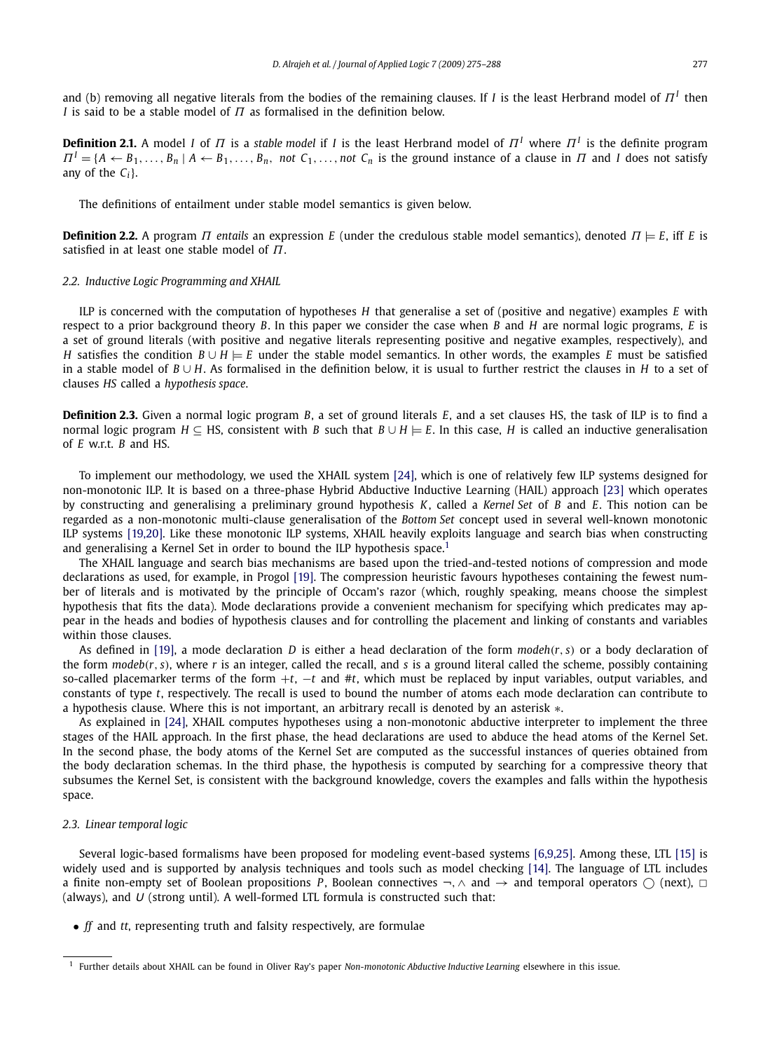and (b) removing all negative literals from the bodies of the remaining clauses. If *I* is the least Herbrand model of *Π <sup>I</sup>* then *I* is said to be a stable model of *Π* as formalised in the definition below.

**Definition 2.1.** A model *I* of *Π* is a *stable model* if *I* is the least Herbrand model of  $\Pi^I$  where  $\Pi^I$  is the definite program  $\Pi^l = \{A \leftarrow B_1, \ldots, B_n | A \leftarrow B_1, \ldots, B_n \}$  not  $C_1, \ldots, not C_n$  is the ground instance of a clause in  $\Pi$  and I does not satisfy any of the *Ci*}.

The definitions of entailment under stable model semantics is given below.

**Definition 2.2.** A program *Π* entails an expression *E* (under the credulous stable model semantics), denoted  $\Pi \models E$ , iff *E* is satisfied in at least one stable model of *Π*.

#### *2.2. Inductive Logic Programming and XHAIL*

ILP is concerned with the computation of hypotheses *H* that generalise a set of (positive and negative) examples *E* with respect to a prior background theory *B*. In this paper we consider the case when *B* and *H* are normal logic programs, *E* is a set of ground literals (with positive and negative literals representing positive and negative examples, respectively), and *H* satisfies the condition *B*∪*H*  $\models$  *E* under the stable model semantics. In other words, the examples *E* must be satisfied in a stable model of *B* ∪ *H*. As formalised in the definition below, it is usual to further restrict the clauses in *H* to a set of clauses *HS* called a *hypothesis space*.

**Definition 2.3.** Given a normal logic program *B*, a set of ground literals *E*, and a set clauses HS, the task of ILP is to find a normal logic program *H* ⊂ HS, consistent with *B* such that  $B \cup H \models E$ . In this case, *H* is called an inductive generalisation of *E* w.r.t. *B* and HS.

To implement our methodology, we used the XHAIL system [\[24\],](#page-13-0) which is one of relatively few ILP systems designed for non-monotonic ILP. It is based on a three-phase Hybrid Abductive Inductive Learning (HAIL) approach [\[23\]](#page-13-0) which operates by constructing and generalising a preliminary ground hypothesis *K*, called a *Kernel Set* of *B* and *E*. This notion can be regarded as a non-monotonic multi-clause generalisation of the *Bottom Set* concept used in several well-known monotonic ILP systems [\[19,20\].](#page-13-0) Like these monotonic ILP systems, XHAIL heavily exploits language and search bias when constructing and generalising a Kernel Set in order to bound the ILP hypothesis space.<sup>1</sup>

The XHAIL language and search bias mechanisms are based upon the tried-and-tested notions of compression and mode declarations as used, for example, in Progol [\[19\].](#page-13-0) The compression heuristic favours hypotheses containing the fewest number of literals and is motivated by the principle of Occam's razor (which, roughly speaking, means choose the simplest hypothesis that fits the data). Mode declarations provide a convenient mechanism for specifying which predicates may appear in the heads and bodies of hypothesis clauses and for controlling the placement and linking of constants and variables within those clauses.

As defined in [\[19\],](#page-13-0) a mode declaration *D* is either a head declaration of the form *modeh(r, s)* or a body declaration of the form  $modeb(r, s)$ , where  $r$  is an integer, called the recall, and  $s$  is a ground literal called the scheme, possibly containing so-called placemarker terms of the form  $+t$ ,  $-t$  and  $#t$ , which must be replaced by input variables, output variables, and constants of type *t*, respectively. The recall is used to bound the number of atoms each mode declaration can contribute to a hypothesis clause. Where this is not important, an arbitrary recall is denoted by an asterisk ∗.

As explained in [\[24\],](#page-13-0) XHAIL computes hypotheses using a non-monotonic abductive interpreter to implement the three stages of the HAIL approach. In the first phase, the head declarations are used to abduce the head atoms of the Kernel Set. In the second phase, the body atoms of the Kernel Set are computed as the successful instances of queries obtained from the body declaration schemas. In the third phase, the hypothesis is computed by searching for a compressive theory that subsumes the Kernel Set, is consistent with the background knowledge, covers the examples and falls within the hypothesis space.

#### *2.3. Linear temporal logic*

Several logic-based formalisms have been proposed for modeling event-based systems [\[6,9,25\].](#page-13-0) Among these, LTL [\[15\]](#page-13-0) is widely used and is supported by analysis techniques and tools such as model checking [\[14\].](#page-13-0) The language of LTL includes a finite non-empty set of Boolean propositions *P*, Boolean connectives ¬, ∧ and → and temporal operators ○ (next), □ (always), and  $U$  (strong until). A well-formed LTL formula is constructed such that:

• *ff* and *tt*, representing truth and falsity respectively, are formulae

<sup>1</sup> Further details about XHAIL can be found in Oliver Ray's paper *Non-monotonic Abductive Inductive Learning* elsewhere in this issue.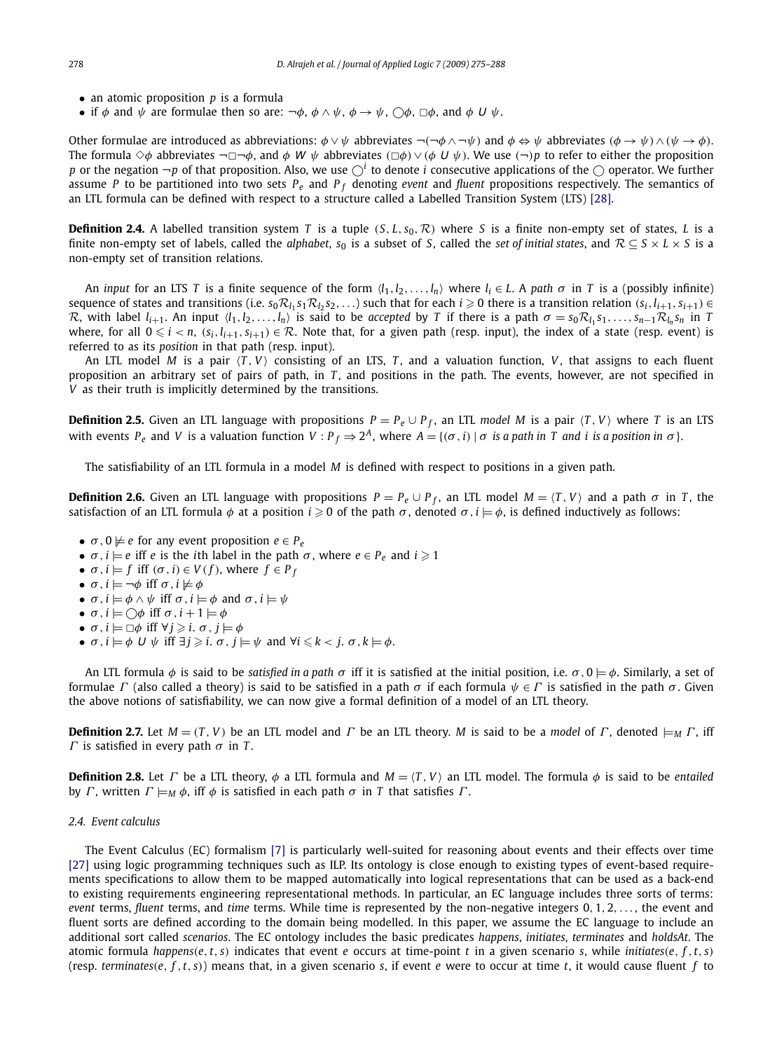- <span id="page-3-0"></span>• an atomic proposition *p* is a formula
- if  $\phi$  and  $\psi$  are formulae then so are:  $\neg \phi$ ,  $\phi \land \psi$ ,  $\phi \rightarrow \psi$ ,  $\bigcirc \phi$ ,  $\Box \phi$ , and  $\phi \, U \, \psi$ .

Other formulae are introduced as abbreviations:  $\phi \lor \psi$  abbreviates  $\neg(\neg \phi \land \neg \psi)$  and  $\phi \Leftrightarrow \psi$  abbreviates  $(\phi \rightarrow \psi) \land (\psi \rightarrow \phi)$ . The formula  $\Diamond \phi$  abbreviates  $\neg \Box \neg \phi$ , and  $\phi$  *W*  $\psi$  abbreviates  $(\Box \phi) \lor (\phi \cup \psi)$ . We use  $(\neg)$ *p* to refer to either the proposition  $p$  or the negation  $\neg p$  of that proposition. Also, we use  $\bigcirc^i$  to denote *i* consecutive applications of the  $\bigcirc$  operator. We further assume *P* to be partitioned into two sets *Pe* and *P <sup>f</sup>* denoting *event* and *fluent* propositions respectively. The semantics of an LTL formula can be defined with respect to a structure called a Labelled Transition System (LTS) [\[28\].](#page-13-0)

**Definition 2.4.** A labelled transition system *T* is a tuple  $(S, L, s_0, \mathcal{R})$  where *S* is a finite non-empty set of states, *L* is a finite non-empty set of labels, called the *alphabet*,  $s_0$  is a subset of *S*, called the *set of initial states*, and  $\mathcal{R} \subseteq S \times L \times S$  is a non-empty set of transition relations.

An *input* for an LTS *T* is a finite sequence of the form  $\langle l_1, l_2, \ldots, l_n \rangle$  where  $l_i \in L$ . A path  $\sigma$  in *T* is a (possibly infinite) sequence of states and transitions (i.e.  $s_0 \mathcal{R}_{l_1} s_1 \mathcal{R}_{l_2} s_2,...$ ) such that for each  $i \geq 0$  there is a transition relation  $(s_i, l_{i+1}, s_{i+1}) \in \mathbb{R}$ R, with label  $l_{i+1}$ . An input  $\langle l_1, l_2, \ldots, l_n \rangle$  is said to be accepted by T if there is a path  $\sigma = s_0 \mathcal{R}_{l_1} s_1, \ldots, s_{n-1} \mathcal{R}_{l_n} s_n$  in T where, for all  $0 \le i < n$ ,  $(s_i, l_{i+1}, s_{i+1}) \in \mathcal{R}$ . Note that, for a given path (resp. input), the index of a state (resp. event) is referred to as its *position* in that path (resp. input).

An LTL model *M* is a pair  $\langle T, V \rangle$  consisting of an LTS, *T*, and a valuation function, *V*, that assigns to each fluent proposition an arbitrary set of pairs of path, in *T* , and positions in the path. The events, however, are not specified in *V* as their truth is implicitly determined by the transitions.

**Definition 2.5.** Given an LTL language with propositions  $P = P_e \cup P_f$ , an LTL *model M* is a pair  $\langle T, V \rangle$  where *T* is an LTS with events  $P_e$  and *V* is a valuation function  $V: P_f \Rightarrow 2^A$ , where  $A = \{(σ, i) | σ \text{ is a path in } T \text{ and } i \text{ is a position in } σ\}.$ 

The satisfiability of an LTL formula in a model *M* is defined with respect to positions in a given path.

**Definition 2.6.** Given an LTL language with propositions  $P = P_e \cup P_f$ , an LTL model  $M = \langle T, V \rangle$  and a path  $\sigma$  in *T*, the satisfaction of an LTL formula  $\phi$  at a position  $i\geqslant 0$  of the path  $\sigma,$  denoted  $\sigma,$   $i\models \phi,$  is defined inductively as follows:

- $\sigma$ ,  $0 \not\models e$  for any event proposition  $e \in Pe$
- $\sigma$ ,  $i \models e$  iff  $e$  is the *i*th label in the path  $\sigma$ , where  $e \in Pe$  and  $i \geqslant 1$
- $\sigma$ ,  $i \models f$  iff  $(\sigma, i) \in V(f)$ , where  $f \in P_f$
- $\sigma$ *, i*  $\models \neg \phi$  iff  $\sigma$ *, i*  $\models \phi$
- $\sigma$ *,*  $i \models \phi \land \psi$  iff  $\sigma$ *,*  $i \models \phi$  and  $\sigma$ *,*  $i \models \psi$
- $\sigma$ *, i*  $\models$   $\bigcirc$  $\phi$  iff  $\sigma$ *, i* + 1  $\models$   $\phi$
- $\sigma, i \models \Box \phi$  iff  $\forall j \geq i$ .  $\sigma, j \models \phi$
- $\sigma, i \models \phi \cup \psi$  iff  $\exists j \geqslant i$ .  $\sigma, j \models \psi$  and  $\forall i \leqslant k < j$ .  $\sigma, k \models \phi$ .

An LTL formula  $\phi$  is said to be *satisfied in a path*  $\sigma$  iff it is satisfied at the initial position, i.e.  $\sigma$ ,  $0 \models \phi$ . Similarly, a set of formulae *Γ* (also called a theory) is said to be satisfied in a path *σ* if each formula *ψ* ∈ *Γ* is satisfied in the path *σ* . Given the above notions of satisfiability, we can now give a formal definition of a model of an LTL theory.

**Definition 2.7.** Let  $M = (T, V)$  be an LTL model and *Γ* be an LTL theory. *M* is said to be a *model* of *Γ*, denoted  $\models M \Gamma$ , iff *Γ* is satisfied in every path  $σ$  in *T*.

**Definition 2.8.** Let *Γ* be a LTL theory,  $φ$  a LTL formula and  $M = \langle T, V \rangle$  an LTL model. The formula  $φ$  is said to be *entailed* by *Γ* , written *Γ* |*<sup>M</sup> φ*, iff *φ* is satisfied in each path *σ* in *T* that satisfies *Γ* .

#### *2.4. Event calculus*

The Event Calculus (EC) formalism [\[7\]](#page-13-0) is particularly well-suited for reasoning about events and their effects over time [\[27\]](#page-13-0) using logic programming techniques such as ILP. Its ontology is close enough to existing types of event-based requirements specifications to allow them to be mapped automatically into logical representations that can be used as a back-end to existing requirements engineering representational methods. In particular, an EC language includes three sorts of terms: *event* terms, *fluent* terms, and *time* terms. While time is represented by the non-negative integers 0*,* 1*,* 2*,...* , the event and fluent sorts are defined according to the domain being modelled. In this paper, we assume the EC language to include an additional sort called *scenarios*. The EC ontology includes the basic predicates *happens*, *initiates*, *terminates* and *holdsAt*. The atomic formula happens(e, t, s) indicates that event e occurs at time-point t in a given scenario s, while initiates(e, f, t, s) (resp. terminates(e, f, t, s)) means that, in a given scenario s, if event e were to occur at time t, it would cause fluent f to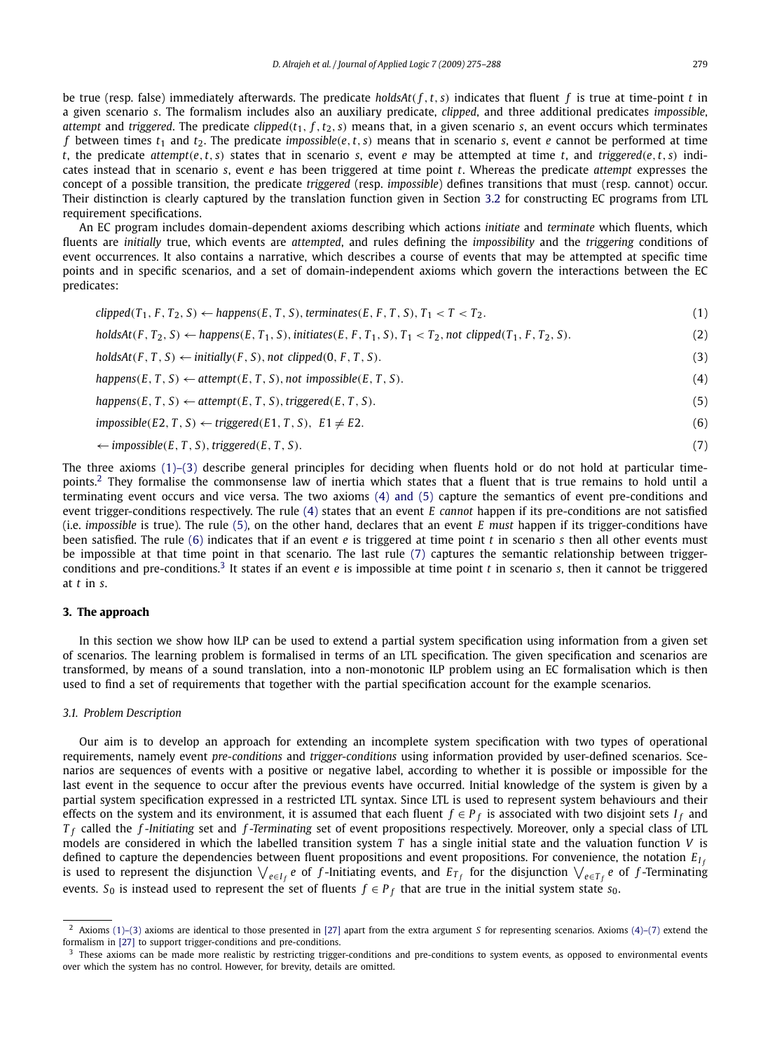<span id="page-4-0"></span>be true (resp. false) immediately afterwards. The predicate  $holdsAt(f, t, s)$  indicates that fluent  $f$  is true at time-point  $t$  in a given scenario *s*. The formalism includes also an auxiliary predicate, *clipped*, and three additional predicates *impossible*, *attempt* and *triggered*. The predicate *clipped*( $t_1$ ,  $f$ ,  $t_2$ ,  $s$ ) means that, in a given scenario  $s$ , an event occurs which terminates *f* between times  $t_1$  and  $t_2$ . The predicate *impossible*(*e*, *t*, *s*) means that in scenario *s*, event *e* cannot be performed at time t, the predicate attempt(e, t, s) states that in scenario s, event e may be attempted at time t, and triggered(e, t, s) indicates instead that in scenario *s*, event *e* has been triggered at time point *t*. Whereas the predicate *attempt* expresses the concept of a possible transition, the predicate *triggered* (resp. *impossible*) defines transitions that must (resp. cannot) occur. Their distinction is clearly captured by the translation function given in Section [3.2](#page-6-0) for constructing EC programs from LTL requirement specifications.

An EC program includes domain-dependent axioms describing which actions *initiate* and *terminate* which fluents, which fluents are *initially* true, which events are *attempted*, and rules defining the *impossibility* and the *triggering* conditions of event occurrences. It also contains a narrative, which describes a course of events that may be attempted at specific time points and in specific scenarios, and a set of domain-independent axioms which govern the interactions between the EC predicates:

\n
$$
clipped(T_1, F, T_2, S) \leftarrow happens(E, T, S),
$$
 terminates (E, F, T, S),  $T_1 < T < T_2$ .\n

\n\n $holdsAt(F, T_2, S) \leftarrow happens(E, T_1, S),$  initiates (E, F, T\_1, S),  $T_1 < T_2$ , not  $clipped(T_1, F, T_2, S)$ .\n

\n\n $holdsAt(F, T, S) \leftarrow initially(F, S),$  not  $clipped(0, F, T, S)$ .\n

\n\n $happens(E, T, S) \leftarrow attempt(E, T, S),$  not  $impossible(E, T, S)$ .\n

\n\n $happens(E, T, S) \leftarrow attempt(E, T, S),$  triggered (E, T, S).\n

\n\n $impossible(E, T, S) \leftarrow triggered(E, T, S),$   $E_1 \neq E_2$ .\n

\n\n $impossible(E, T, S),$  triggered (E, T, S).\n

\n\n (7)\n

The three axioms (1)–(3) describe general principles for deciding when fluents hold or do not hold at particular timepoints.<sup>2</sup> They formalise the commonsense law of inertia which states that a fluent that is true remains to hold until a terminating event occurs and vice versa. The two axioms (4) and (5) capture the semantics of event pre-conditions and event trigger-conditions respectively. The rule (4) states that an event *E cannot* happen if its pre-conditions are not satisfied (i.e. *impossible* is true). The rule (5), on the other hand, declares that an event *E must* happen if its trigger-conditions have been satisfied. The rule (6) indicates that if an event *e* is triggered at time point *t* in scenario *s* then all other events must be impossible at that time point in that scenario. The last rule (7) captures the semantic relationship between triggerconditions and pre-conditions.3 It states if an event *e* is impossible at time point *t* in scenario *s*, then it cannot be triggered at *t* in *s*.

# **3. The approach**

In this section we show how ILP can be used to extend a partial system specification using information from a given set of scenarios. The learning problem is formalised in terms of an LTL specification. The given specification and scenarios are transformed, by means of a sound translation, into a non-monotonic ILP problem using an EC formalisation which is then used to find a set of requirements that together with the partial specification account for the example scenarios.

#### *3.1. Problem Description*

Our aim is to develop an approach for extending an incomplete system specification with two types of operational requirements, namely event *pre-conditions* and *trigger-conditions* using information provided by user-defined scenarios. Scenarios are sequences of events with a positive or negative label, according to whether it is possible or impossible for the last event in the sequence to occur after the previous events have occurred. Initial knowledge of the system is given by a partial system specification expressed in a restricted LTL syntax. Since LTL is used to represent system behaviours and their effects on the system and its environment, it is assumed that each fluent  $f \in P_f$  is associated with two disjoint sets  $I_f$  and *T <sup>f</sup>* called the *f -Initiating* set and *f -Terminating* set of event propositions respectively. Moreover, only a special class of LTL models are considered in which the labelled transition system *T* has a single initial state and the valuation function *V* is defined to capture the dependencies between fluent propositions and event propositions. For convenience, the notation *EI <sup>f</sup>* is used to represent the disjunction  $\bigvee_{e\in I_f}e$  of  $f$ -Initiating events, and  $E_{T_f}$  for the disjunction  $\bigvee_{e\in T_f}e$  of  $f$ -Terminating events. *S*<sub>0</sub> is instead used to represent the set of fluents  $f \in P_f$  that are true in the initial system state *s*<sub>0</sub>.

<sup>2</sup> Axioms (1)–(3) axioms are identical to those presented in [\[27\]](#page-13-0) apart from the extra argument *S* for representing scenarios. Axioms (4)–(7) extend the formalism in [\[27\]](#page-13-0) to support trigger-conditions and pre-conditions.

<sup>&</sup>lt;sup>3</sup> These axioms can be made more realistic by restricting trigger-conditions and pre-conditions to system events, as opposed to environmental events over which the system has no control. However, for brevity, details are omitted.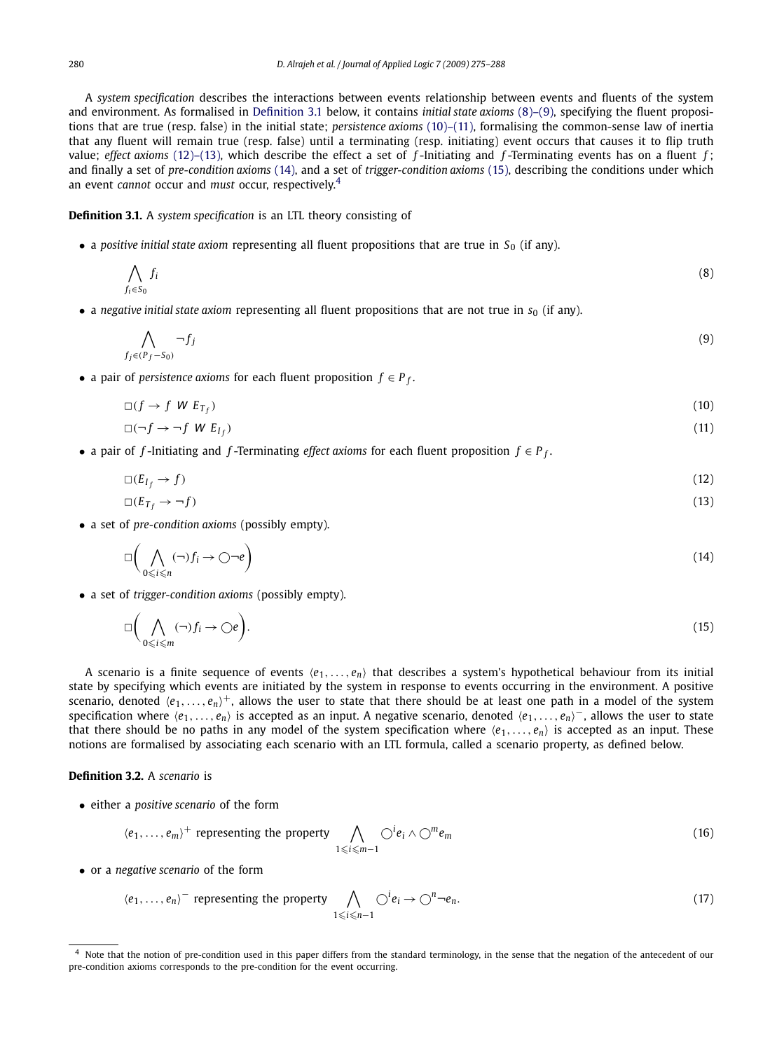<span id="page-5-0"></span>A *system specification* describes the interactions between events relationship between events and fluents of the system and environment. As formalised in Definition 3.1 below, it contains *initial state axioms* (8)–(9), specifying the fluent propositions that are true (resp. false) in the initial state; *persistence axioms* (10)–(11), formalising the common-sense law of inertia that any fluent will remain true (resp. false) until a terminating (resp. initiating) event occurs that causes it to flip truth value; *effect axioms* (12)–(13), which describe the effect a set of *f* -Initiating and *f* -Terminating events has on a fluent *f* ; and finally a set of *pre-condition axioms* (14), and a set of *trigger-condition axioms* (15), describing the conditions under which an event *cannot* occur and *must* occur, respectively.<sup>4</sup>

**Definition 3.1.** A *system specification* is an LTL theory consisting of

• a *positive initial state axiom* representing all fluent propositions that are true in  $S_0$  (if any).

$$
\bigwedge_{f_i \in S_0} f_i \tag{8}
$$

• a *negative initial state axiom* representing all fluent propositions that are not true in  $s<sub>0</sub>$  (if any).

$$
\bigwedge_{f_j \in (P_f - S_0)} \neg f_j \tag{9}
$$

• a pair of *persistence axioms* for each fluent proposition  $f \in P_f$ .

$$
\Box(f \to f \ W E_{T_f}) \tag{10}
$$

$$
\Box(\neg f \to \neg f \, W \, E_{I_f}) \tag{11}
$$

• a pair of *f* -Initiating and *f* -Terminating *effect axioms* for each fluent proposition *f* ∈ *P <sup>f</sup>* .

$$
\Box(E_{I_f} \to f) \tag{12}
$$

$$
\Box (E_{T_f} \to \neg f) \tag{13}
$$

• a set of *pre-condition axioms* (possibly empty).

$$
\Box \left( \bigwedge_{0 \leq i \leq n} (\neg) f_i \to \bigcirc \neg e \right) \tag{14}
$$

• a set of *trigger-condition axioms* (possibly empty).

$$
\Box \bigg( \bigwedge_{0 \leq i \leq m} (\neg) f_i \to \bigcirc e \bigg). \tag{15}
$$

A scenario is a finite sequence of events  $\langle e_1,\ldots,e_n \rangle$  that describes a system's hypothetical behaviour from its initial state by specifying which events are initiated by the system in response to events occurring in the environment. A positive scenario, denoted  $\langle e_1,\ldots,e_n\rangle^+$ , allows the user to state that there should be at least one path in a model of the system specification where  $\langle e_1, \ldots, e_n \rangle$  is accepted as an input. A negative scenario, denoted  $\langle e_1, \ldots, e_n \rangle$ <sup>-</sup>, allows the user to state that there should be no paths in any model of the system specification where  $\langle e_1,\ldots,e_n\rangle$  is accepted as an input. These notions are formalised by associating each scenario with an LTL formula, called a scenario property, as defined below.

#### **Definition 3.2.** A *scenario* is

• either a *positive scenario* of the form

$$
\langle e_1, \ldots, e_m \rangle^+ \text{ representing the property } \bigwedge_{1 \leq i \leq m-1} \bigcirc^{i} e_i \wedge \bigcirc^{m} e_m \tag{16}
$$

• or a *negative scenario* of the form

$$
\langle e_1, \dots, e_n \rangle^- \text{ representing the property } \bigwedge_{1 \leq i \leq n-1} \bigcirc^i e_i \to \bigcirc^n \neg e_n. \tag{17}
$$

Note that the notion of pre-condition used in this paper differs from the standard terminology, in the sense that the negation of the antecedent of our pre-condition axioms corresponds to the pre-condition for the event occurring.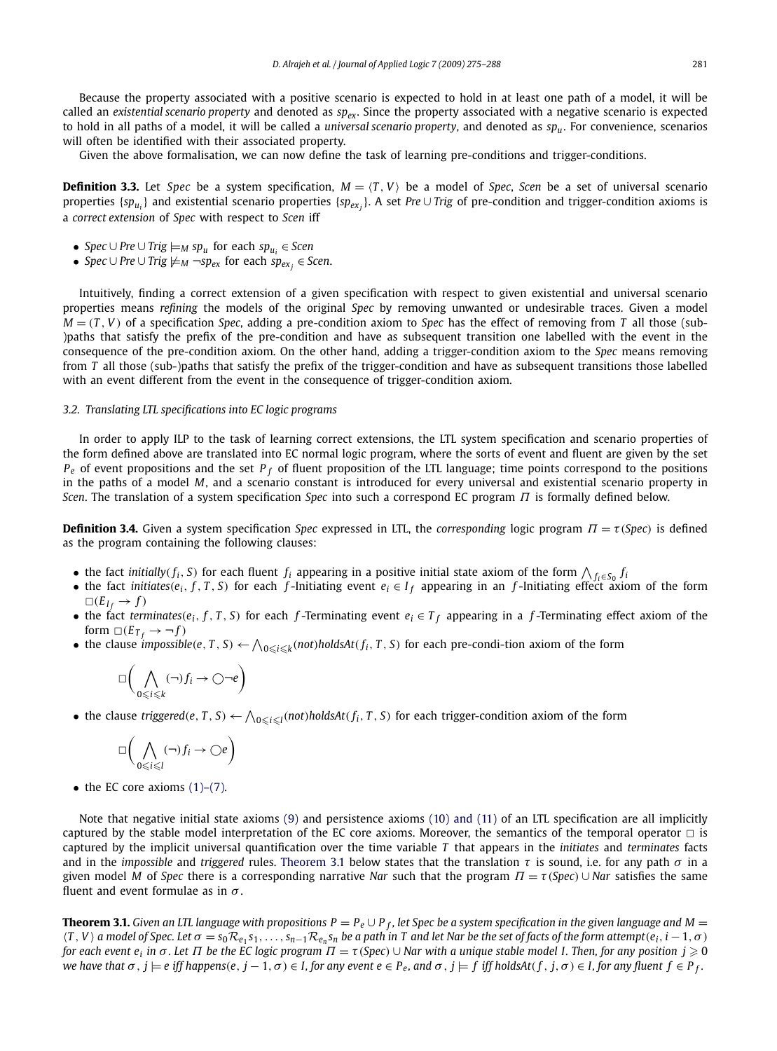<span id="page-6-0"></span>Because the property associated with a positive scenario is expected to hold in at least one path of a model, it will be called an *existential scenario property* and denoted as *spex*. Since the property associated with a negative scenario is expected to hold in all paths of a model, it will be called a *universal scenario property*, and denoted as *spu*. For convenience, scenarios will often be identified with their associated property.

Given the above formalisation, we can now define the task of learning pre-conditions and trigger-conditions.

**Definition 3.3.** Let *Spec* be a system specification,  $M = \langle T, V \rangle$  be a model of *Spec*, *Scen* be a set of universal scenario properties {sp<sub>ui</sub>} and existential scenario properties {sp<sub>ex}</sub>}. A set Pre∪Trig of pre-condition and trigger-condition axioms is a *correct extension* of *Spec* with respect to *Scen* iff

- *Spec* ∪ *Pre* ∪ *Trig* |*<sup>M</sup> spu* for each *spui* ∈ *Scen*
- *Spec* ∪ *Pre* ∪ *Trig*  $\nvdash M \neg sp_{ex}$  for each  $sp_{ex_i} \in$  *Scen.*

Intuitively, finding a correct extension of a given specification with respect to given existential and universal scenario properties means *refining* the models of the original *Spec* by removing unwanted or undesirable traces. Given a model  $M = (T, V)$  of a specification *Spec*, adding a pre-condition axiom to *Spec* has the effect of removing from *T* all those (sub-)paths that satisfy the prefix of the pre-condition and have as subsequent transition one labelled with the event in the consequence of the pre-condition axiom. On the other hand, adding a trigger-condition axiom to the *Spec* means removing from *T* all those (sub-)paths that satisfy the prefix of the trigger-condition and have as subsequent transitions those labelled with an event different from the event in the consequence of trigger-condition axiom.

### *3.2. Translating LTL specifications into EC logic programs*

In order to apply ILP to the task of learning correct extensions, the LTL system specification and scenario properties of the form defined above are translated into EC normal logic program, where the sorts of event and fluent are given by the set *Pe* of event propositions and the set *P <sup>f</sup>* of fluent proposition of the LTL language; time points correspond to the positions in the paths of a model *M*, and a scenario constant is introduced for every universal and existential scenario property in *Scen*. The translation of a system specification *Spec* into such a correspond EC program *Π* is formally defined below.

**Definition 3.4.** Given a system specification *Spec* expressed in LTL, the *corresponding* logic program *Π* = *τ (Spec)* is defined as the program containing the following clauses:

- the fact *initially*( $f_i$ ,  $S$ ) for each fluent  $f_i$  appearing in a positive initial state axiom of the form  $\bigwedge_{f_i \in S_0} f_i$
- the fact initiates( $e_i$ , f, T, S) for each f-Initiating event  $e_i \in I_f$  appearing in an f-Initiating effect axiom of the form  $□$ ( $E$ <sub>If</sub> →  $f$ )
- the fact terminates(e<sub>i</sub>, f, T, S) for each f-Terminating event  $e_i \in T_f$  appearing in a f-Terminating effect axiom of the form  $\Box(E_{T_f} \rightarrow \neg f)$
- the clause impossible(e, T, S)  $\leftarrow \bigwedge_{0 \leq i \leq k} (not) holdsAt(f_i, T, S)$  for each pre-condi-tion axiom of the form

$$
\Box \bigg(\bigwedge_{0 \leq i \leq k} (\neg)f_i \to \bigcirc \neg e\bigg)
$$

• the clause triggered(e, T, S)  $\leftarrow \bigwedge_{0 \leq i \leq l} (not) holdsAt(f_i, T, S)$  for each trigger-condition axiom of the form

$$
\Box \bigg(\bigwedge_{0\leq i\leq l}(\neg)f_i\to \bigcirc e\bigg)
$$

• the EC core axioms  $(1)-(7)$ .

Note that negative initial state axioms [\(9\)](#page-5-0) and persistence axioms [\(10\) and \(11\)](#page-5-0) of an LTL specification are all implicitly captured by the stable model interpretation of the EC core axioms. Moreover, the semantics of the temporal operator  $\Box$  is captured by the implicit universal quantification over the time variable *T* that appears in the *initiates* and *terminates* facts and in the *impossible* and *triggered* rules. Theorem 3.1 below states that the translation *τ* is sound, i.e. for any path *σ* in a given model *M* of *Spec* there is a corresponding narrative *Nar* such that the program *Π* = *τ (Spec)* ∪ *Nar* satisfies the same fluent and event formulae as in *σ* .

**Theorem 3.1.** *Given an LTL language with propositions P* =  $P_e \cup P_f$ , let Spec be a system specification in the given language and M =  $\langle T, V \rangle$  a model of Spec. Let  $\sigma = s_0 \mathcal{R}_{e_1} s_1, \ldots, s_{n-1} \mathcal{R}_{e_n} s_n$  be a path in T and let Nar be the set of facts of the form attempt $(e_i, i-1, \sigma)$  $f$ or each event e<sub>i</sub> in σ . Let Π be the EC logic program Π = τ (Spec) ∪ Nar with a unique stable model I. Then, for any position  $j$  ≥ 0 we have that  $\sigma$ ,  $j \models e$  iff happens(e,  $j - 1, \sigma$ )  $\in$  I, for any event  $e \in P_e$ , and  $\sigma$ ,  $j \models f$  iff holdsAt(f, j,  $\sigma$ )  $\in$  I, for any fluent  $f \in P_f$ .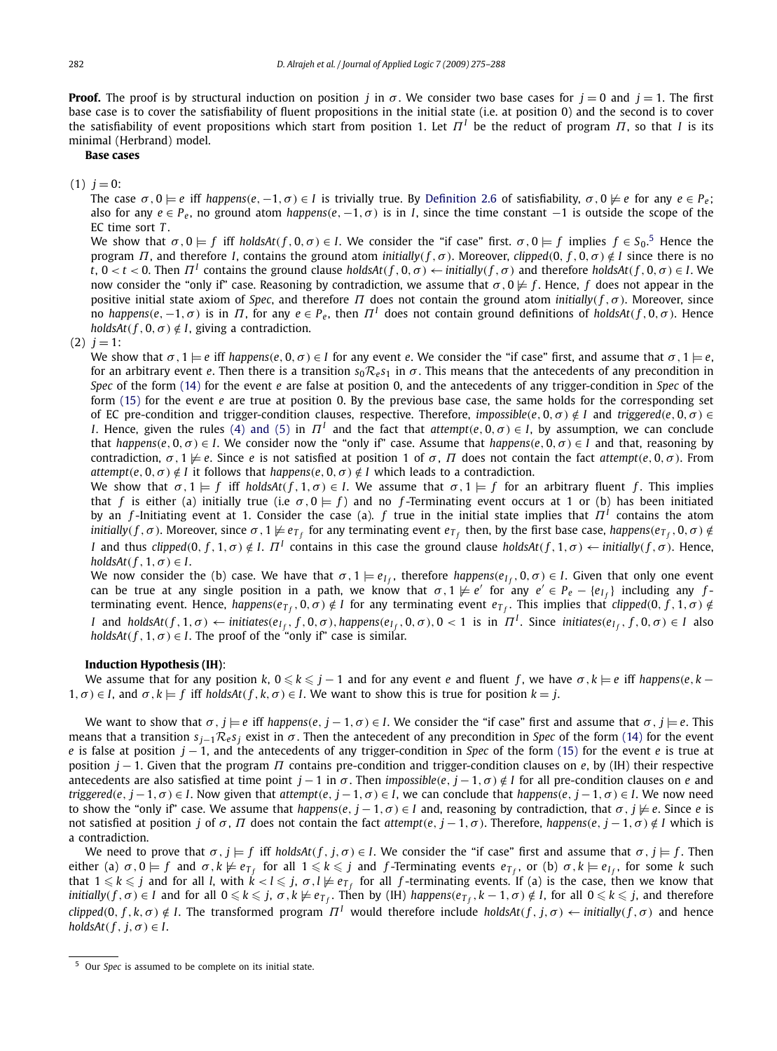**Proof.** The proof is by structural induction on position *j* in  $\sigma$ . We consider two base cases for  $j = 0$  and  $j = 1$ . The first base case is to cover the satisfiability of fluent propositions in the initial state (i.e. at position 0) and the second is to cover the satisfiability of event propositions which start from position 1. Let  $\Pi^I$  be the reduct of program  $\Pi$ , so that *I* is its minimal (Herbrand) model.

**Base cases**

 $(1)$   $j = 0$ :

The case  $\sigma, 0 \models e$  iff *happens* $(e, -1, \sigma) \in I$  is trivially true. By [Definition 2.6](#page-3-0) of satisfiability,  $\sigma, 0 \not\models e$  for any  $e \in P_e$ ; also for any  $e \in P_e$ , no ground atom *happens* $(e, -1, \sigma)$  is in *I*, since the time constant −1 is outside the scope of the EC time sort *T* .

We show that  $\sigma$  ,  $0 \models f$  iff  $holdsAt(f, 0, \sigma) \in I$ . We consider the "if case" first.  $\sigma$  ,  $0 \models f$  implies  $f \in S_0$ .<sup>5</sup> Hence the program *Π*, and therefore *I*, contains the ground atom *initially*( $f, σ$ ). Moreover, *clipped*(0,  $f, 0, σ$ )  $\notin I$  since there is no t,  $0 < t < 0$ . Then  $\Pi^1$  contains the ground clause holds  $At(f, 0, \sigma) \leftarrow \text{initially}(f, \sigma)$  and therefore holds  $At(f, 0, \sigma) \in I$ . We now consider the "only if" case. Reasoning by contradiction, we assume that  $\sigma$ ,  $0 \not\models f$ . Hence, f does not appear in the positive initial state axiom of *Spec*, and therefore *Π* does not contain the ground atom *initially(f ,σ)*. Moreover, since *no happens*(*e*, −1, *σ*) is in *Π*, for any *e* ∈ *P<sub>e</sub>*, then *Π<sup>1</sup>* does not contain ground definitions of *holdsAt*(*f*, 0, *σ*). Hence *holdsAt*( $f$ ,  $0$ ,  $\sigma$ )  $\notin$  *I*, giving a contradiction.

 $(2)$   $j = 1$ :

We show that  $\sigma$ ,  $1 \models e$  iff *happens* $(e, 0, \sigma) \in I$  for any event *e*. We consider the "if case" first, and assume that  $\sigma$ ,  $1 \models e$ , for an arbitrary event *e*. Then there is a transition  $s_0 \mathcal{R}_e s_1$  in  $\sigma$ . This means that the antecedents of any precondition in *Spec* of the form [\(14\)](#page-5-0) for the event *e* are false at position 0, and the antecedents of any trigger-condition in *Spec* of the form [\(15\)](#page-5-0) for the event *e* are true at position 0. By the previous base case, the same holds for the corresponding set of EC pre-condition and trigger-condition clauses, respective. Therefore, *impossible* $(e, 0, \sigma) \notin I$  and *triggered* $(e, 0, \sigma) \in I$ *I*. Hence, given the rules [\(4\) and \(5\)](#page-4-0) in  $\Pi^I$  and the fact that *attempt*(*e*, 0*,*  $\sigma$ )  $\in$  *I*, by assumption, we can conclude *that happens* $(e, 0, \sigma) \in I$ . We consider now the "only if" case. Assume that *happens* $(e, 0, \sigma) \in I$  and that, reasoning by contradiction,  $\sigma$ ,  $1 \not\models e$ . Since *e* is not satisfied at position 1 of  $\sigma$ , *Π* does not contain the fact *attempt*(*e*, 0,  $\sigma$ ). From *attempt*(*e*, 0*,*  $\sigma$ )  $\notin$  *I* it follows that *happens*(*e*, 0*,*  $\sigma$ )  $\notin$  *I* which leads to a contradiction.

We show that  $\sigma, 1 \models f$  iff *holdsAt*( $f, 1, \sigma$ )  $\in I$ . We assume that  $\sigma, 1 \models f$  for an arbitrary fluent f. This implies that *f* is either (a) initially true (i.e  $\sigma$ ,  $0 \models f$ ) and no *f*-Terminating event occurs at 1 or (b) has been initiated by an *f* -Initiating event at 1. Consider the case (a). *f* true in the initial state implies that *Π <sup>I</sup>* contains the atom initially(f,  $\sigma$ ). Moreover, since  $\sigma$ ,  $1 \not\models e_{T_f}$  for any terminating event  $e_{T_f}$  then, by the first base case, happens( $e_{T_f}$ , 0,  $\sigma$ )  $\notin$ *I* and thus *clipped*(0, f, 1,  $\sigma$ )  $\notin I$ .  $\Pi^I$  contains in this case the ground clause *holdsAt*(f, 1,  $\sigma$ )  $\leftarrow$  *initially*(f,  $\sigma$ ). Hence, *holdsAt*( $f$ ,  $1, \sigma$ ) $\in$ *I*.

We now consider the (b) case. We have that  $\sigma$ ,  $1 \models e_{I}$ , therefore *happens* $(e_{I}$ ,  $0, \sigma) \in I$ . Given that only one event can be true at any single position in a path, we know that  $\sigma$ ,  $1 \not\models e'$  for any  $e' \in P_e - \{e_{I_i}\}\$ including any  $f$ terminating event. Hence, happens( $e_{T_f}$ , 0,  $\sigma$ )  $\notin I$  for any terminating event  $e_{T_f}$ . This implies that clipped(0, f, 1,  $\sigma$ )  $\notin$ *I* and *holdsAt*(*f*, 1,  $\sigma$ )  $\leftarrow$  *initiates*( $e_{I_f}$ , *f*, 0,  $\sigma$ ), *happens*( $e_{I_f}$ , 0,  $\sigma$ ), 0 < 1 is in  $\Pi^I$ . Since *initiates*( $e_{I_f}$ , *f*, 0,  $\sigma$ )  $\in$  *I* also *holdsAt*( $f$ ,  $1, \sigma$ )  $\in$  *I*. The proof of the "only if" case is similar.

# **Induction Hypothesis (IH)**:

We assume that for any position *k*,  $0 \le k \le j - 1$  and for any event *e* and fluent *f*, we have  $\sigma$ ,  $k \models e$  iff *happens*(*e*, *k* − 1*,σ)* ∈ *I*, and *σ,k* | *f* iff *holdsAt(f ,k,σ)* ∈ *I*. We want to show this is true for position *k* = *j*.

We want to show that  $\sigma$ ,  $j \models e$  iff *happens* $(e, j - 1, \sigma) \in I$ . We consider the "if case" first and assume that  $\sigma$ ,  $j \models e$ . This means that a transition  $s_{i-1}R_e s_i$  exist in  $\sigma$ . Then the antecedent of any precondition in *Spec* of the form [\(14\)](#page-5-0) for the event *e* is false at position *j* − 1, and the antecedents of any trigger-condition in *Spec* of the form [\(15\)](#page-5-0) for the event *e* is true at position *j* − 1. Given that the program *Π* contains pre-condition and trigger-condition clauses on *e*, by (IH) their respective antecedents are also satisfied at time point *j* − 1 in *σ* . Then *impossible(e, j* − 1*,σ) /*∈ *I* for all pre-condition clauses on *e* and triggered(e,  $j-1, \sigma$ )  $\in$  I. Now given that attempt(e,  $j-1, \sigma$ )  $\in$  I, we can conclude that happens(e,  $j-1, \sigma$ )  $\in$  I. We now need to show the "only if" case. We assume that *happens* $(e, j - 1, \sigma) \in I$  and, reasoning by contradiction, that  $\sigma, j \not\models e$ . Since *e* is not satisfied at position j of  $\sigma$ ,  $\Pi$  does not contain the fact attempt(e,  $j-1, \sigma$ ). Therefore, happens(e,  $j-1, \sigma$ )  $\notin I$  which is a contradiction.

We need to prove that  $\sigma$ ,  $j \models f$  iff *holdsAt*( $f$ ,  $j$ ,  $\sigma$ )  $\in$  *I*. We consider the "if case" first and assume that  $\sigma$ ,  $j \models f$ . Then either (a)  $\sigma, 0 \models f$  and  $\sigma, k \not\models e_{T_f}$  for all  $1 \leqslant k \leqslant j$  and  $f$ -Terminating events  $e_{T_f}$ , or (b)  $\sigma, k \models e_{I_f}$ , for some  $k$  such that  $1\leqslant k\leqslant j$  and for all *l*, with  $k< l\leqslant j,$   $\sigma,l\not\models e_{T_f}$  for all  $f$ -terminating events. If (a) is the case, then we know that *initially*(*f*,  $\sigma$ )  $\in$  *I* and for all  $0 \le k \le j$ ,  $\sigma$ ,  $k \not\models e_{T_f}$ . Then by (IH) *happens*( $e_{T_f}$ ,  $k - 1$ ,  $\sigma$ )  $\notin$  *I*, for all  $0 \le k \le j$ , and therefore clipped(0,  $f, k, \sigma$ )  $\notin I$ . The transformed program  $\Pi^I$  would therefore include holdsAt( $f, j, \sigma$ )  $\leftarrow$  initially( $f, \sigma$ ) and hence *holdsAt* $(f, j, \sigma) \in I$ .

<sup>5</sup> Our *Spec* is assumed to be complete on its initial state.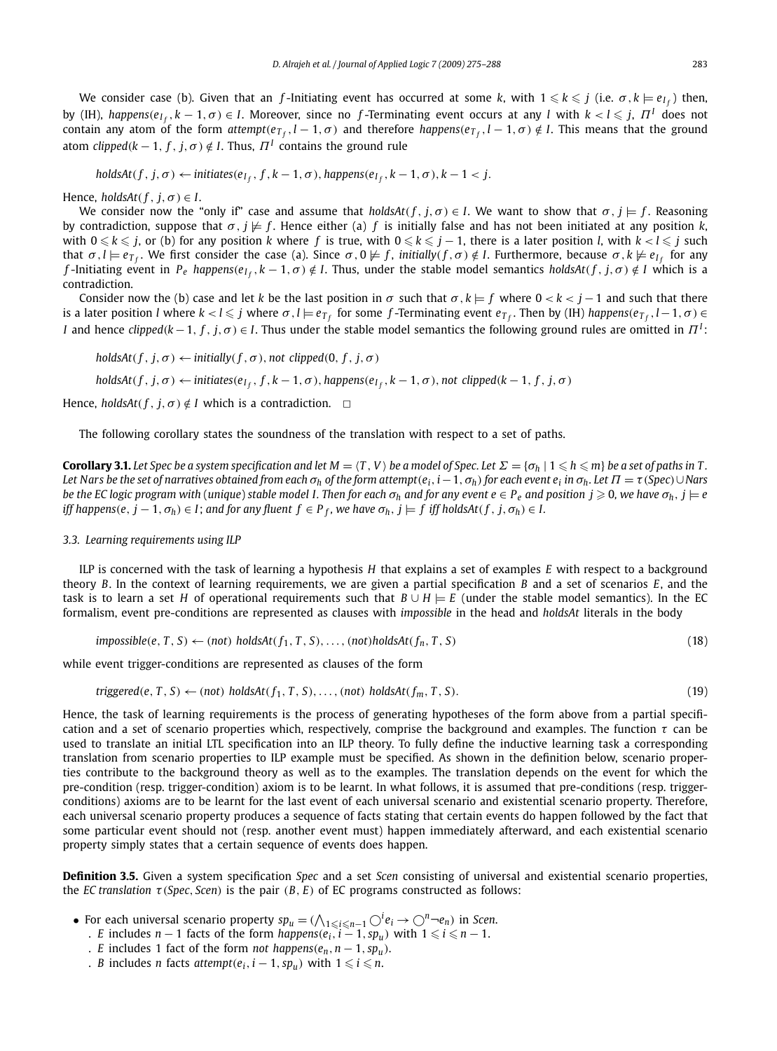<span id="page-8-0"></span>We consider case (b). Given that an *f*-Initiating event has occurred at some *k*, with  $1 \leq k \leq j$  (i.e.  $\sigma, k \models e_{I_f}$ ) then, by (IH), happens(e<sub>Ls</sub>,  $k-1, \sigma$ )  $\in$  I. Moreover, since no f-Terminating event occurs at any l with  $k < l \leq j$ ,  $\Pi^l$  does not contain any atom of the form  $attempt(e_{T_f}, l-1, \sigma)$  and therefore happens $(e_{T_f}, l-1, \sigma) \notin I$ . This means that the ground atom *clipped*( $k - 1$ ,  $f$ ,  $j$ ,  $\sigma$ )  $\notin$  *I*. Thus,  $\Pi^I$  contains the ground rule

 $holdsAt(f, j, \sigma) \leftarrow initiates(e_{I_f}, f, k-1, \sigma)$ , happens $(e_{I_f}, k-1, \sigma), k-1 < j$ .

Hence,  $holdsAt(f, j, \sigma) \in I$ .

We consider now the "only if" case and assume that *holdsAt*( $f$ ,  $j$ ,  $\sigma$ )  $\in$  *I*. We want to show that  $\sigma$ ,  $j \models f$ . Reasoning by contradiction, suppose that  $\sigma$ ,  $j \not\models f$ . Hence either (a) f is initially false and has not been initiated at any position *k*, with  $0 \le k \le j$ , or (b) for any position *k* where *f* is true, with  $0 \le k \le j - 1$ , there is a later position *l*, with  $k < l \le j$  such that  $\sigma, l \models e_{\tau_i}$ . We first consider the case (a). Since  $\sigma, 0 \not\models f$ , initially $(f, \sigma) \notin I$ . Furthermore, because  $\sigma, k \not\models e_{I_i}$  for any f-Initiating event in  $P_e$  happens( $e_{I_f}$ ,  $k-1,\sigma$ )  $\notin I$ . Thus, under the stable model semantics holdsAt(f, j,  $\sigma$ )  $\notin I$  which is a contradiction.

Consider now the (b) case and let *k* be the last position in  $\sigma$  such that  $\sigma$ ,  $k \models f$  where  $0 < k < j - 1$  and such that there is a later position *l* where  $k < l \leq j$  where  $\sigma, l \models e_{T_f}$  for some f-Terminating event  $e_{T_f}$ . Then by (IH) happens $(e_{T_f}, l-1, \sigma) \in$ *I* and hence *clipped*( $k-1, f, j, \sigma$ ) ∈ *I*. Thus under the stable model semantics the following ground rules are omitted in  $\Pi^1$ :

*holdsAt*( $f$ ,  $j$ , $\sigma$ )  $\leftarrow$  *initially*( $f$ , $\sigma$ ), *not clipped*(0,  $f$ ,  $j$ , $\sigma$ )

holdsAt(f, j,  $\sigma$ )  $\leftarrow$  initiates(e<sub>1e</sub>, f, k - 1,  $\sigma$ ), happens(e<sub>1e</sub>, k - 1,  $\sigma$ ), not clipped(k - 1, f, j,  $\sigma$ )

Hence, *holdsAt*( $f$ ,  $j$ ,  $\sigma$ )  $\notin$  *I* which is a contradiction.  $\Box$ 

The following corollary states the soundness of the translation with respect to a set of paths.

**Corollary 3.1.** Let Spec be a system specification and let  $M = \langle T, V \rangle$  be a model of Spec. Let  $\Sigma = \{\sigma_h | 1 \leq h \leq m\}$  be a set of paths in T. Let Nars be the set of narratives obtained from each  $\sigma_h$  of the form attempt( $e_i$ ,  $i-1$ ,  $\sigma_h$ ) for each event  $e_i$  in  $\sigma_h$ . Let  $\Pi = \tau$  (Spec)  $\cup$  Nars be the EC logic program with (unique) stable model 1. Then for each  $\sigma_h$  and for any event  $e\in P_e$  and position  $j\geqslant 0$ , we have  $\sigma_h,$   $j\models e$ iff happens $(e, j-1, \sigma_h) \in I$ ; and for any fluent  $f \in P_f$ , we have  $\sigma_h$ ,  $j \models f$  iff holdsAt $(f, j, \sigma_h) \in I$ .

#### *3.3. Learning requirements using ILP*

ILP is concerned with the task of learning a hypothesis *H* that explains a set of examples *E* with respect to a background theory *B*. In the context of learning requirements, we are given a partial specification *B* and a set of scenarios *E*, and the task is to learn a set *H* of operational requirements such that  $B \cup H \models E$  (under the stable model semantics). In the EC formalism, event pre-conditions are represented as clauses with *impossible* in the head and *holdsAt* literals in the body

$$
impossible(e, T, S) \leftarrow (not) holdsAt(f_1, T, S), \dots, (not) holdsAt(f_n, T, S)
$$
\n
$$
(18)
$$

while event trigger-conditions are represented as clauses of the form

$$
triggered(e, T, S) \leftarrow (not) holdsAt(f_1, T, S), \dots, (not) holdsAt(f_m, T, S).
$$
\n
$$
(19)
$$

Hence, the task of learning requirements is the process of generating hypotheses of the form above from a partial specification and a set of scenario properties which, respectively, comprise the background and examples. The function *τ* can be used to translate an initial LTL specification into an ILP theory. To fully define the inductive learning task a corresponding translation from scenario properties to ILP example must be specified. As shown in the definition below, scenario properties contribute to the background theory as well as to the examples. The translation depends on the event for which the pre-condition (resp. trigger-condition) axiom is to be learnt. In what follows, it is assumed that pre-conditions (resp. triggerconditions) axioms are to be learnt for the last event of each universal scenario and existential scenario property. Therefore, each universal scenario property produces a sequence of facts stating that certain events do happen followed by the fact that some particular event should not (resp. another event must) happen immediately afterward, and each existential scenario property simply states that a certain sequence of events does happen.

**Definition 3.5.** Given a system specification *Spec* and a set *Scen* consisting of universal and existential scenario properties, the *EC translation τ (Spec, Scen)* is the pair *(B, E)* of EC programs constructed as follows:

- For each universal scenario property  $sp_u = (\bigwedge_{1 \leq i \leq n-1} \bigcirc^{i} e_i \to \bigcirc^{n} \neg e_n)$  in *Scen.* 
	- *. E* includes *n* − 1 facts of the form *happens*( $e_i$ ,  $i 1$ ,  $sp_u$ ) with  $1 \le i \le n 1$ .
	- *F* includes 1 fact of the form *not happens* $(e_n, n-1, sp_u)$ .
	- . *B* includes *n* facts  $attention(t_i, i-1, sp_u)$  with  $1 \le i \le n$ .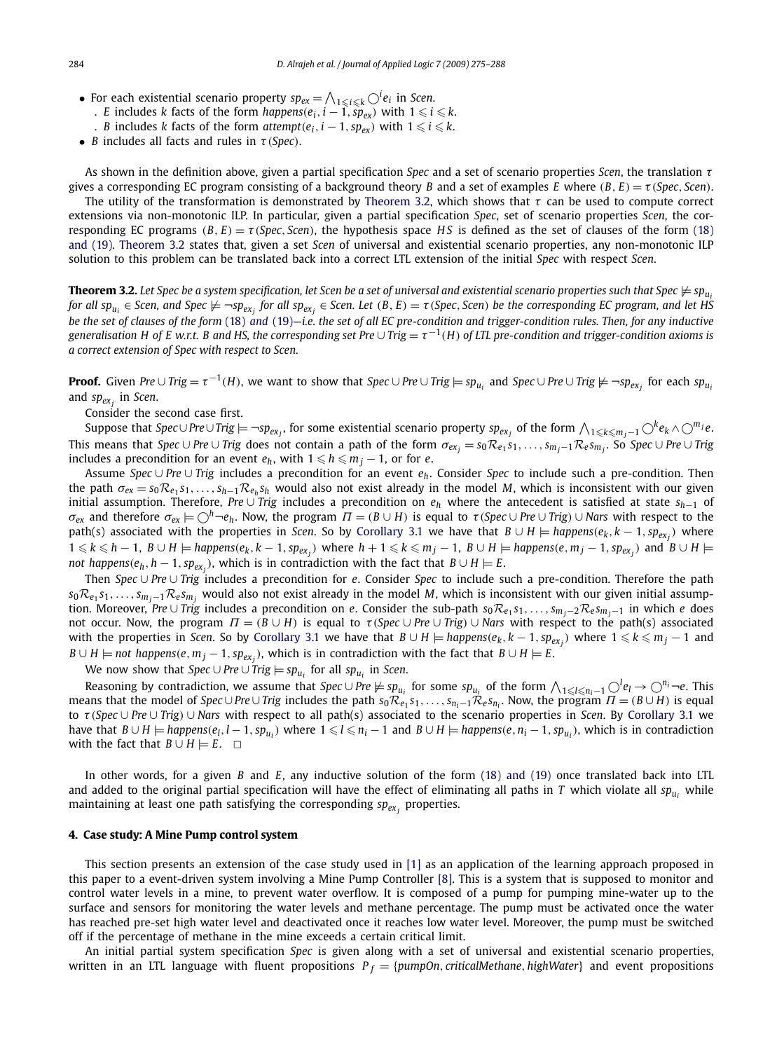- <span id="page-9-0"></span>• For each existential scenario property  $sp_{ex} = \bigwedge_{1 \leq i \leq k} \bigcirc^{i} e_i$  in *Scen.* 
	- *E* includes *k* facts of the form *happens*( $e_i$ ,  $i$  − 1,  $\overline{sp}_{ex}$ ) with 1  $\leq i \leq k$ .
	- *B* includes *k* facts of the form  $\text{attempt}(e_i, i − 1, sp_{ex})$  with  $1 \leq i \leq k$ .
- *B* includes all facts and rules in *τ (Spec)*.

As shown in the definition above, given a partial specification *Spec* and a set of scenario properties *Scen*, the translation *τ* gives a corresponding EC program consisting of a background theory *B* and a set of examples *E* where  $(B, E) = \tau(Spec, Scen)$ .

The utility of the transformation is demonstrated by Theorem 3.2, which shows that *τ* can be used to compute correct extensions via non-monotonic ILP. In particular, given a partial specification *Spec*, set of scenario properties *Scen*, the corresponding EC programs  $(B, E) = \tau$  (Spec, Scen), the hypothesis space HS is defined as the set of clauses of the form [\(18\)](#page-8-0) [and \(19\).](#page-8-0) Theorem 3.2 states that, given a set *Scen* of universal and existential scenario properties, any non-monotonic ILP solution to this problem can be translated back into a correct LTL extension of the initial *Spec* with respect *Scen*.

**Theorem 3.2.** Let Spec be a system specification, let Scen be a set of universal and existential scenario properties such that Spec  $\not\models sp_{ii}$ for all sp<sub>u<sub>i</sub></sub>  $\in$  Scen, and Spec  $\not\models \neg sp_{ex_i}$  for all sp<sub>ex<sub>i</sub></sub>  $\in$  Scen. Let  $(B, E) = \tau$  (Spec, Scen) be the corresponding EC program, and let HS *be the set of clauses of the form* (18) *and* [\(19\)](#page-8-0)*—i.e. the set of all EC pre-condition and trigger-condition rules. Then, for any inductive generalisation H of E w.r.t. B and HS, the corresponding set Pre* ∪ *Trig* =  $\tau^{-1}(H)$  of LTL pre-condition and trigger-condition axioms is *a correct extension of Spec with respect to Scen.*

**Proof.** Given Pre  $\cup$  Trig =  $\tau^{-1}(H)$ , we want to show that Spec  $\cup$  Pre  $\cup$  Trig  $\models sp_{u_i}$  and Spec  $\cup$  Pre  $\cup$  Trig  $\not\models \neg sp_{ex_j}$  for each  $sp_{u_i}$ and  $sp_{ex_i}$  in *Scen*.

Consider the second case first.

 $S$ uppose that  $Spec\cup Pre\cup Trig \models \neg sp_{ex_j}$ , for some existential scenario property  $sp_{ex_j}$  of the form  $\bigwedge_{1\leqslant k\leqslant m_j-1}\bigcirc^ke_k\wedge\bigcirc^{m_j}e_k$ This means that Spec  $\cup$  Pre  $\cup$  Trig does not contain a path of the form  $\sigma_{ex_j} = s_0 \mathcal{R}_{e_1} s_1, \ldots, s_{m_j-1} \mathcal{R}_{e} s_{m_j}$ . So Spec  $\cup$  Pre  $\cup$  Trig includes a precondition for an event  $e_h$ , with  $1 \le h \le m_i - 1$ , or for *e*.

Assume *Spec* ∪ *Pre* ∪ *Trig* includes a precondition for an event *eh*. Consider *Spec* to include such a pre-condition. Then the path  $\sigma_{ex} = s_0 \mathcal{R}_{e_1} s_1, \ldots, s_{h-1} \mathcal{R}_{e_h} s_h$  would also not exist already in the model *M*, which is inconsistent with our given initial assumption. Therefore, *Pre* ∪ *Trig* includes a precondition on *eh* where the antecedent is satisfied at state *sh*−<sup>1</sup> of  $\sigma_{ex}$  and therefore  $\sigma_{ex} \models \bigcirc^h \neg e_h.$  Now, the program  $\Pi=(B\cup H)$  is equal to  $\tau$  (Spec  $\cup$  Pre  $\cup$  Trig)  $\cup$  Nars with respect to the path(s) associated with the properties in *Scen*. So by [Corollary 3.1](#page-8-0) we have that  $B \cup H \models happens(e_k, k-1, sp_{ex_j})$  where  $1 \leq k \leq h-1$ ,  $B \cup H \models$  happens $(e_k, k-1, sp_{ex_j})$  where  $h+1 \leq k \leq m_j-1$ ,  $B \cup H \models$  happens $(e, m_j-1, sp_{ex_j})$  and  $B \cup H \models$ *not happens* $(e_h, h-1, sp_{e\chi_j})$ , which is in contradiction with the fact that  $B \cup H \models E$ .

Then *Spec* ∪ *Pre* ∪ *Trig* includes a precondition for *e*. Consider *Spec* to include such a pre-condition. Therefore the path *s*<sub>0</sub>R<sub>e1</sub> *s*<sub>1</sub>,..., *s<sub>m<sub>j</sub>*−1</sub>R<sub>e</sub> *s<sub>m<sub>i</sub>*</sub> would also not exist already in the model *M*, which is inconsistent with our given initial assumption. Moreover, *Pre* ∪ *Trig* includes a precondition on *e*. Consider the sub-path  $s_0 \mathcal{R}_{e_1} s_1, \ldots, s_{m_j-2} \mathcal{R}_{e} s_{m_j-1}$  in which *e* does not occur. Now, the program *Π* = *(B* ∪ *H)* is equal to *τ (Spec* ∪ *Pre* ∪ *Trig)* ∪ *Nars* with respect to the path(s) associated with the properties in Scen. So by [Corollary 3.1](#page-8-0) we have that  $B\cup H\models happens(e_k,k-1,sp_{ex_j})$  where  $1\leqslant k\leqslant m_j-1$  and *B*∪*H*  $\models$  *not happens*(*e, m<sub>j</sub>* − 1*, sp<sub>ex<sub>j</sub></sub>), which is in contradiction with the fact that <i>B*∪*H*  $\models$  *E*.

We now show that *Spec* ∪ *Pre* ∪ *Trig*  $\models$  *sp*<sub>*u<sub>i</sub>*</sub> for all *sp*<sub>*u<sub>i</sub>*</sub> in *Scen*.

Reasoning by contradiction, we assume that *Spec* ∪ *Pre*  $\not\models sp_{u_i}$  for some  $sp_{u_i}$  of the form  $\bigwedge_{1\leqslant l\leqslant n_i-1}\bigcirc^le e_l\to \bigcirc^{n_i}-e$ . This means that the model of Spec $\cup$  Pre $\cup$  Trig includes the path  $s_0 \mathcal{R}_{e_1} s_1, \ldots, s_{n_i-1} \mathcal{R}_e s_{n_i}$ . Now, the program  $\Pi = (B \cup H)$  is equal to *τ (Spec* ∪ *Pre* ∪ *Trig)* ∪ *Nars* with respect to all path(s) associated to the scenario properties in *Scen*. By [Corollary 3.1](#page-8-0) we have that  $B\cup H \models$  happens $(e_l, l-1, sp_{u_i})$  where  $1 \leq l \leq n_i-1$  and  $B\cup H \models$  happens $(e, n_i-1, sp_{u_i})$ , which is in contradiction with the fact that  $B \cup H \models E$ .  $\Box$ 

In other words, for a given *B* and *E*, any inductive solution of the form [\(18\) and \(19\)](#page-8-0) once translated back into LTL and added to the original partial specification will have the effect of eliminating all paths in *T* which violate all  $sp_{u_i}$  while maintaining at least one path satisfying the corresponding  $sp_{ex}$ , properties.

#### **4. Case study: A Mine Pump control system**

This section presents an extension of the case study used in [\[1\]](#page-13-0) as an application of the learning approach proposed in this paper to a event-driven system involving a Mine Pump Controller [\[8\].](#page-13-0) This is a system that is supposed to monitor and control water levels in a mine, to prevent water overflow. It is composed of a pump for pumping mine-water up to the surface and sensors for monitoring the water levels and methane percentage. The pump must be activated once the water has reached pre-set high water level and deactivated once it reaches low water level. Moreover, the pump must be switched off if the percentage of methane in the mine exceeds a certain critical limit.

An initial partial system specification *Spec* is given along with a set of universal and existential scenario properties, written in an LTL language with fluent propositions  $P_f = \{pumpOn, criticalMethod, highWater\}$  and event propositions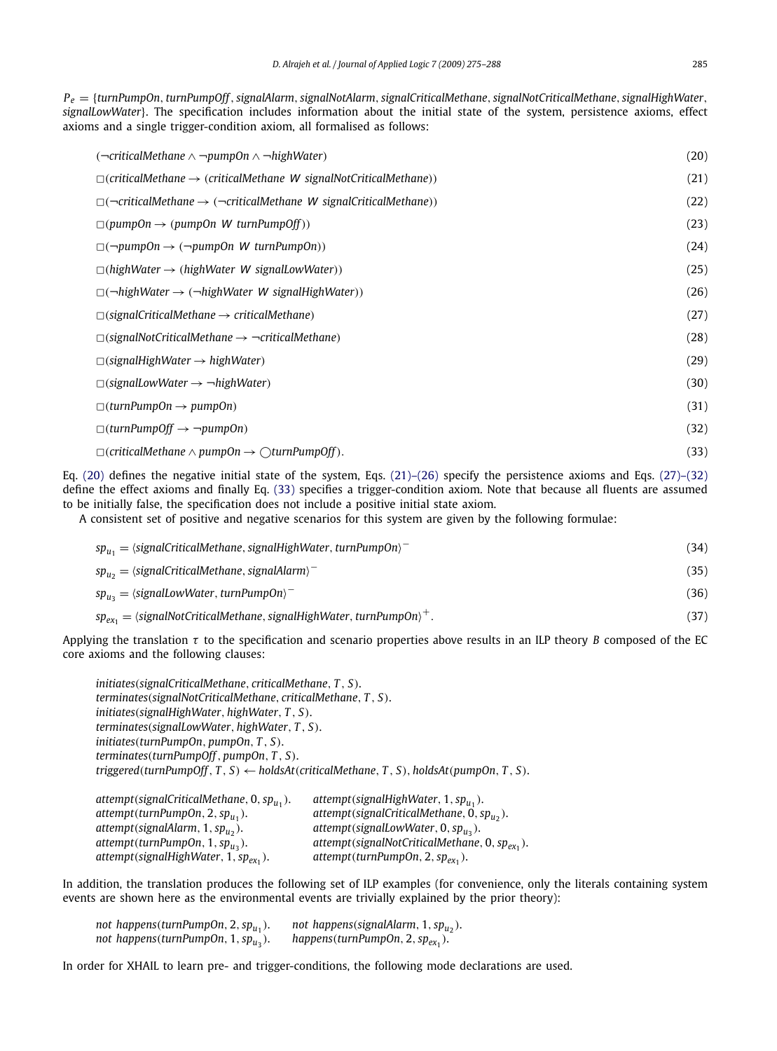$P_e = {turnPumpOn, turnPumpOff, signalAlarm, signalNotAlarm, signalCriticalMethod, signalNotCriticalMethod.$ *signalLowWater*}. The specification includes information about the initial state of the system, persistence axioms, effect axioms and a single trigger-condition axiom, all formalised as follows:

| $(\neg criticalMethod) \land \neg pumpOn \land \neg highWater)$                                 | (20) |
|-------------------------------------------------------------------------------------------------|------|
| $\Box$ (criticalMethane $\rightarrow$ (criticalMethane W signalNotCriticalMethane))             | (21) |
| $\Box(\neg criticalMethod) \rightarrow (\neg criticalMethod)$ we signal Critical Methane $\Box$ | (22) |
| $\Box$ (pumpOn $\rightarrow$ (pumpOn W turnPumpOff))                                            | (23) |
| $\Box(\neg \text{pumpOn} \rightarrow (\neg \text{pumpOn} \ W \ \text{turnPumpOn}))$             | (24) |
| $\Box$ (highWater $\rightarrow$ (highWater W signalLowWater))                                   | (25) |
| $\Box(\neg highWater \rightarrow (\neg highWater \ W signal High Water))$                       | (26) |
| $\Box$ (signalCriticalMethane $\rightarrow$ criticalMethane)                                    | (27) |
| $\Box$ (signalNotCriticalMethane $\rightarrow \neg$ criticalMethane)                            | (28) |
| $\Box$ (signalHighWater $\rightarrow$ highWater)                                                | (29) |
| $\Box$ (signalLowWater $\rightarrow \neg$ highWater)                                            | (30) |
| $\Box$ (turnPumpOn $\rightarrow$ pumpOn)                                                        | (31) |
| $\Box$ (turnPumpOff $\rightarrow \neg$ pumpOn)                                                  | (32) |
| $\Box$ (criticalMethane $\land$ pumpOn $\rightarrow$ $\bigcap$ turnPumpOff).                    | (33) |

Eq. (20) defines the negative initial state of the system, Eqs. (21)–(26) specify the persistence axioms and Eqs. (27)–(32) define the effect axioms and finally Eq. (33) specifies a trigger-condition axiom. Note that because all fluents are assumed to be initially false, the specification does not include a positive initial state axiom.

A consistent set of positive and negative scenarios for this system are given by the following formulae:

| $sp_{u_1} = \langle signalCriticalMethod$ signal High Water, turn Pump On $\rangle$ <sup>-</sup> | (34) |
|--------------------------------------------------------------------------------------------------|------|
| $sp_{u_2}$ = $\langle$ signalCriticalMethane, signalAlarm $\rangle$ <sup>-</sup>                 | (35) |
| $sp_{u_2} = \langle signalLowWater, turnPumpOn \rangle$ <sup>-</sup>                             | (36) |
| $sp_{ex_1} = \langle signalNotCriticalMethod, signalHighWater, turnPumpOn \rangle^+.$            | '37) |

Applying the translation *τ* to the specification and scenario properties above results in an ILP theory *B* composed of the EC core axioms and the following clauses:

*initiates(signalCriticalMethane, criticalMethane, T , S)*. *terminates(signalNotCriticalMethane, criticalMethane, T , S)*. *initiates(signalHighWater, highWater, T , S)*. *terminates(signalLowWater, highWater, T , S)*. *initiates(turnPumpOn, pumpOn, T , S)*. *terminates(turnPumpOff, pumpOn, T , S)*. triggered(turnPumpOff, T, S)  $\leftarrow$  holdsAt(criticalMethane, T, S), holdsAt(pumpOn, T, S). *attempt(signalCriticalMethane,* 0*, spu*<sup>1</sup> *)*. *attempt(signalHighWater,* 1*, spu*<sup>1</sup> *)*.

| attempt(signalCriticalMethane, $0, sp_{u_2}$ ).<br>attempt(turnPumpOn, 2, $sp_{u_1}$ ).<br>attempt(signalAlarm, $1, sp_{u_2}$ ).<br>attempt(signalLowWater, $0, sp_{u_2}$ ).<br>attempt(signalNotCriticalMethane, $0, sp_{ex_1}$ ).<br>attempt(turnPumpOn, $1, sp_{u_3}$ ). |
|-----------------------------------------------------------------------------------------------------------------------------------------------------------------------------------------------------------------------------------------------------------------------------|
|                                                                                                                                                                                                                                                                             |
|                                                                                                                                                                                                                                                                             |
|                                                                                                                                                                                                                                                                             |
| attempt(signalHighWater, $1, sp_{ex_1}$ ).<br>attempt(turnPumpOn, 2, $sp_{ex_1}$ ).                                                                                                                                                                                         |

In addition, the translation produces the following set of ILP examples (for convenience, only the literals containing system events are shown here as the environmental events are trivially explained by the prior theory):

| not happens(turnPumpOn, 2, sp <sub>u1</sub> ). | not happens(signalAlarm, 1, $sp_{u_2}$ ). |
|------------------------------------------------|-------------------------------------------|
| not happens(turnPumpOn, 1, sp <sub>u3</sub> ). | happens (turnPumpOn, 2, $sp_{ex_1}$ ).    |

In order for XHAIL to learn pre- and trigger-conditions, the following mode declarations are used.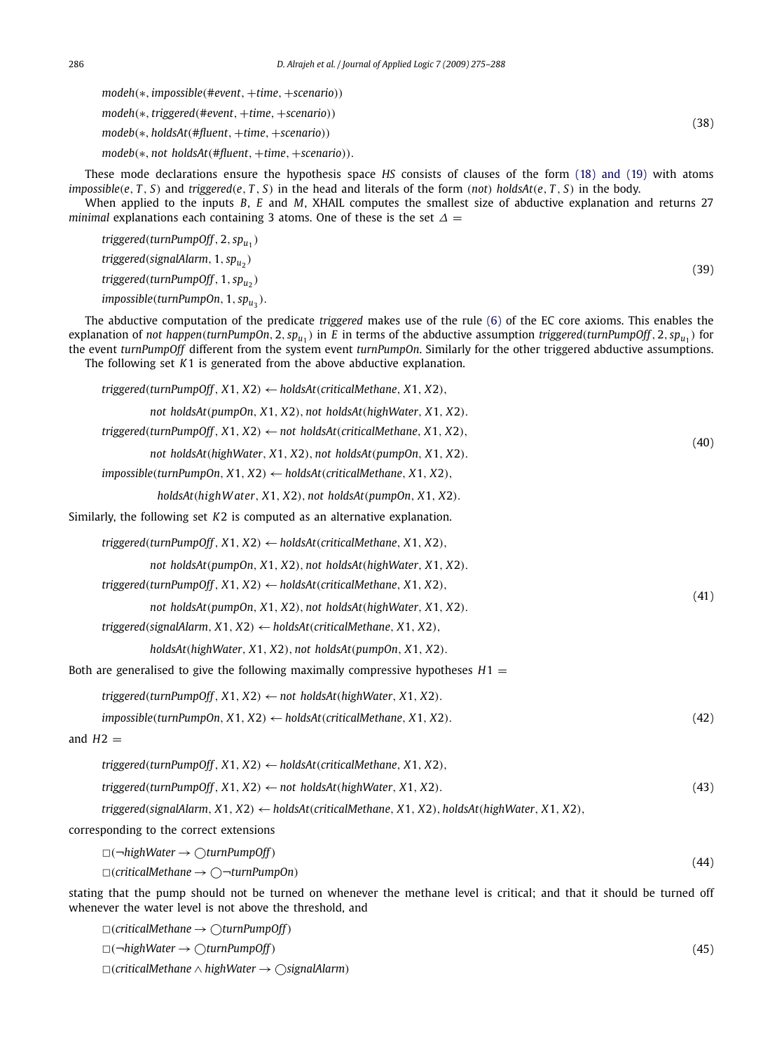*modeh(*∗*,impossible(*#*event,*+*time,*+*scenario)) modeh(*∗*,triggered(*#*event,*+*time,*+*scenario)) modeb(*∗*, holdsAt(*#*fluent,*+*time,*+*scenario)) modeb(*∗*, not holdsAt(*#*fluent,*+*time,*+*scenario)).*

These mode declarations ensure the hypothesis space *HS* consists of clauses of the form [\(18\) and \(19\)](#page-8-0) with atoms impossible(e, T, S) and triggered(e, T, S) in the head and literals of the form (not) holds $At(e, T, S)$  in the body.

When applied to the inputs *B*, *E* and *M*, XHAIL computes the smallest size of abductive explanation and returns 27 *minimal* explanations each containing 3 atoms. One of these is the set  $Δ =$ 

 $triggered(turnPumpOff, 2, sp<sub>u<sub>1</sub></sub>)$  $triggered(signal Alarm, 1, sp<sub>u<sub>2</sub></sub>)$  $triggered(turnPumpOff, 1, sp<sub>u2</sub>)$ (39)

 $impossible(turnPumpOn, 1, sp<sub>u<sub>2</sub></sub>)$ .

The abductive computation of the predicate *triggered* makes use of the rule [\(6\)](#page-4-0) of the EC core axioms. This enables the explanation of not happen(turnPumpOn, 2, sp<sub>u</sub>) in E in terms of the abductive assumption triggered(turnPumpOff, 2, sp<sub>u</sub>) for the event *turnPumpOff* different from the system event *turnPumpOn*. Similarly for the other triggered abductive assumptions. The following set *K*1 is generated from the above abductive explanation.

*triggered(turnPumpOff, X*1*, X*2*)* ← *holdsAt(criticalMethane, X*1*, X*2*),*

*not holdsAt(pumpOn, X*1*, X*2*), not holdsAt(highWater, X*1*, X*2*). triggered(turnPumpOff, X*1*, X*2*)* ← *not holdsAt(criticalMethane, X*1*, X*2*), not holdsAt(highWater, X*1*, X*2*), not holdsAt(pumpOn, X*1*, X*2*).* (40) *impossible(turnPumpOn, X*1*, X*2*)* ← *holdsAt(criticalMethane, X*1*, X*2*), holdsAt(highW ater, X*1*, X*2*), not holdsAt(pumpOn, X*1*, X*2*).* Similarly, the following set *K*2 is computed as an alternative explanation. *triggered(turnPumpOff, X*1*, X*2*)* ← *holdsAt(criticalMethane, X*1*, X*2*), not holdsAt(pumpOn, X*1*, X*2*), not holdsAt(highWater, X*1*, X*2*). triggered(turnPumpOff, X*1*, X*2*)* ← *holdsAt(criticalMethane, X*1*, X*2*), not holdsAt(pumpOn, X*1*, X*2*), not holdsAt(highWater, X*1*, X*2*).* (41) *triggered(signalAlarm, X*1*, X*2*)* ← *holdsAt(criticalMethane, X*1*, X*2*), holdsAt(highWater, X*1*, X*2*), not holdsAt(pumpOn, X*1*, X*2*).* Both are generalised to give the following maximally compressive hypotheses  $H1 =$ *triggered(turnPumpOff, X*1*, X*2*)* ← *not holdsAt(highWater, X*1*, X*2*).*

 $i$ *mpossible*( $i$ *turnPumpOn,*  $X1, X2$ ) ←  $h$ olds $At$ ( $critical$  $M$ ethane,  $X1, X2$ ). (42)

and  $H2 =$ 

*triggered(turnPumpOff, X*1*, X*2*)* ← *holdsAt(criticalMethane, X*1*, X*2*),*

 $t$ riggered(turnPumpOff,  $X1, X2$ ) ← *not holdsAt*(*highWater, X*1*, X*2*).* (43)

triggered(signalAlarm,  $X1, X2$ )  $\leftarrow$  holdsAt(criticalMethane,  $X1, X2$ ), holdsAt(highWater,  $X1, X2$ ),

corresponding to the correct extensions

| $\Box(\neg highWater \rightarrow \bigcap turnPumpOff)$        | (44) |
|---------------------------------------------------------------|------|
| $\Box$ (criticalMethane $\rightarrow$ $\bigcirc$ -turnPumpOn) |      |

stating that the pump should not be turned on whenever the methane level is critical; and that it should be turned off whenever the water level is not above the threshold, and

✷*(criticalMethane* <sup>→</sup>*turnPumpOff)* ✷*(*¬*highWater* <sup>→</sup>*turnPumpOff)* ✷*(criticalMethane* <sup>∧</sup> *highWater* <sup>→</sup>*signalAlarm)* (45)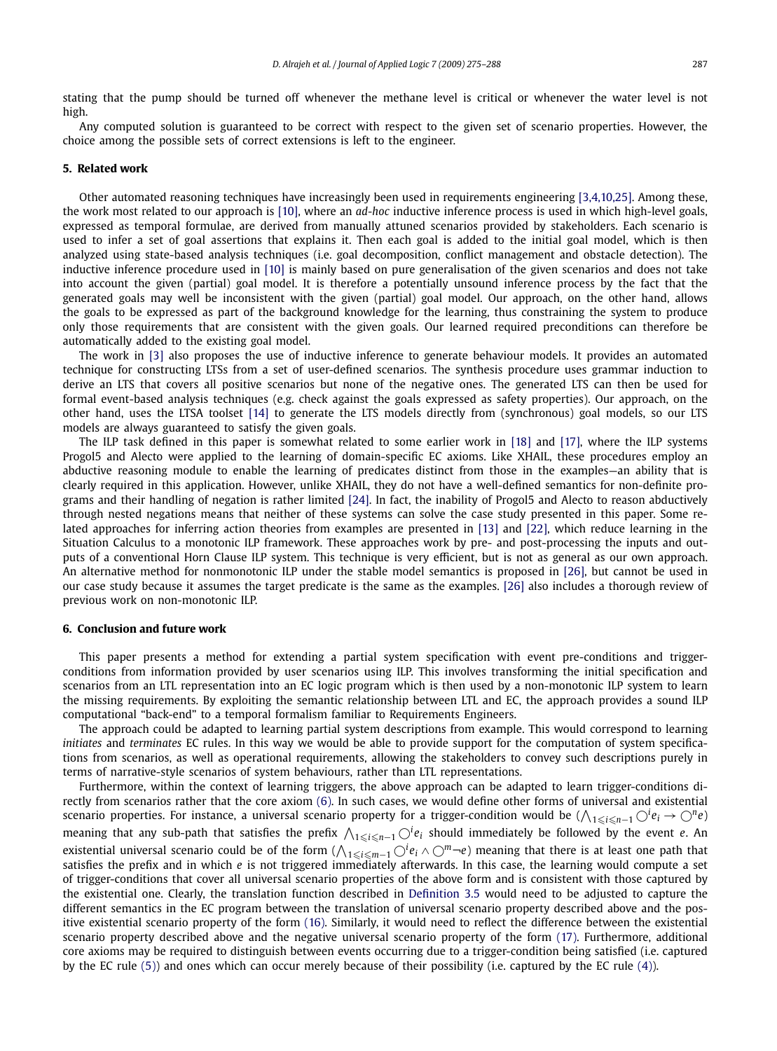stating that the pump should be turned off whenever the methane level is critical or whenever the water level is not high.

Any computed solution is guaranteed to be correct with respect to the given set of scenario properties. However, the choice among the possible sets of correct extensions is left to the engineer.

# **5. Related work**

Other automated reasoning techniques have increasingly been used in requirements engineering [\[3,4,10,25\].](#page-13-0) Among these, the work most related to our approach is [\[10\],](#page-13-0) where an *ad-hoc* inductive inference process is used in which high-level goals, expressed as temporal formulae, are derived from manually attuned scenarios provided by stakeholders. Each scenario is used to infer a set of goal assertions that explains it. Then each goal is added to the initial goal model, which is then analyzed using state-based analysis techniques (i.e. goal decomposition, conflict management and obstacle detection). The inductive inference procedure used in [\[10\]](#page-13-0) is mainly based on pure generalisation of the given scenarios and does not take into account the given (partial) goal model. It is therefore a potentially unsound inference process by the fact that the generated goals may well be inconsistent with the given (partial) goal model. Our approach, on the other hand, allows the goals to be expressed as part of the background knowledge for the learning, thus constraining the system to produce only those requirements that are consistent with the given goals. Our learned required preconditions can therefore be automatically added to the existing goal model.

The work in [\[3\]](#page-13-0) also proposes the use of inductive inference to generate behaviour models. It provides an automated technique for constructing LTSs from a set of user-defined scenarios. The synthesis procedure uses grammar induction to derive an LTS that covers all positive scenarios but none of the negative ones. The generated LTS can then be used for formal event-based analysis techniques (e.g. check against the goals expressed as safety properties). Our approach, on the other hand, uses the LTSA toolset [\[14\]](#page-13-0) to generate the LTS models directly from (synchronous) goal models, so our LTS models are always guaranteed to satisfy the given goals.

The ILP task defined in this paper is somewhat related to some earlier work in [\[18\]](#page-13-0) and [\[17\],](#page-13-0) where the ILP systems Progol5 and Alecto were applied to the learning of domain-specific EC axioms. Like XHAIL, these procedures employ an abductive reasoning module to enable the learning of predicates distinct from those in the examples—an ability that is clearly required in this application. However, unlike XHAIL, they do not have a well-defined semantics for non-definite programs and their handling of negation is rather limited [\[24\].](#page-13-0) In fact, the inability of Progol5 and Alecto to reason abductively through nested negations means that neither of these systems can solve the case study presented in this paper. Some related approaches for inferring action theories from examples are presented in [\[13\]](#page-13-0) and [\[22\],](#page-13-0) which reduce learning in the Situation Calculus to a monotonic ILP framework. These approaches work by pre- and post-processing the inputs and outputs of a conventional Horn Clause ILP system. This technique is very efficient, but is not as general as our own approach. An alternative method for nonmonotonic ILP under the stable model semantics is proposed in [\[26\],](#page-13-0) but cannot be used in our case study because it assumes the target predicate is the same as the examples. [\[26\]](#page-13-0) also includes a thorough review of previous work on non-monotonic ILP.

# **6. Conclusion and future work**

This paper presents a method for extending a partial system specification with event pre-conditions and triggerconditions from information provided by user scenarios using ILP. This involves transforming the initial specification and scenarios from an LTL representation into an EC logic program which is then used by a non-monotonic ILP system to learn the missing requirements. By exploiting the semantic relationship between LTL and EC, the approach provides a sound ILP computational "back-end" to a temporal formalism familiar to Requirements Engineers.

The approach could be adapted to learning partial system descriptions from example. This would correspond to learning *initiates* and *terminates* EC rules. In this way we would be able to provide support for the computation of system specifications from scenarios, as well as operational requirements, allowing the stakeholders to convey such descriptions purely in terms of narrative-style scenarios of system behaviours, rather than LTL representations.

Furthermore, within the context of learning triggers, the above approach can be adapted to learn trigger-conditions directly from scenarios rather that the core axiom [\(6\).](#page-4-0) In such cases, we would define other forms of universal and existential scenario properties. For instance, a universal scenario property for a trigger-condition would be  $(\bigwedge_{1\leqslant i\leqslant n-1}\bigcirc^ie_i\to\bigcirc^ne)$ meaning that any sub-path that satisfies the prefix  $\bigwedge_{1\leqslant i\leqslant n-1}\bigcirc^{i}e_i$  should immediately be followed by the event *e*. An existential universal scenario could be of the form  $(\bigwedge_{1\leqslant i\leqslant m-1}\bigcirc^ie_i\wedge\bigcirc^m\neg e)$  meaning that there is at least one path that satisfies the prefix and in which *e* is not triggered immediately afterwards. In this case, the learning would compute a set of trigger-conditions that cover all universal scenario properties of the above form and is consistent with those captured by the existential one. Clearly, the translation function described in [Definition 3.5](#page-8-0) would need to be adjusted to capture the different semantics in the EC program between the translation of universal scenario property described above and the positive existential scenario property of the form [\(16\).](#page-5-0) Similarly, it would need to reflect the difference between the existential scenario property described above and the negative universal scenario property of the form [\(17\).](#page-5-0) Furthermore, additional core axioms may be required to distinguish between events occurring due to a trigger-condition being satisfied (i.e. captured by the EC rule [\(5\)\)](#page-4-0) and ones which can occur merely because of their possibility (i.e. captured by the EC rule [\(4\)\)](#page-4-0).